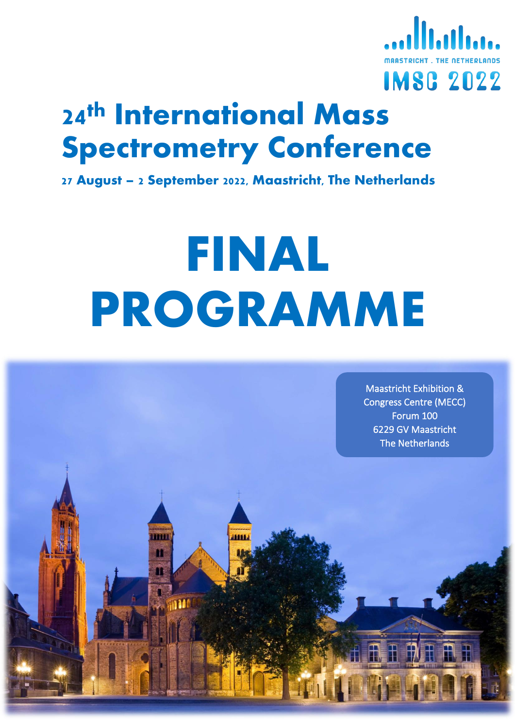

# **24th International Mass Spectrometry Conference**

**27 August – 2 September 2022, Maastricht, The Netherlands**

# **FINAL PROGRAMME**

**DOM** m

Maastricht Exhibition & Congress Centre (MECC) Forum 100 6229 GV Maastricht The Netherlands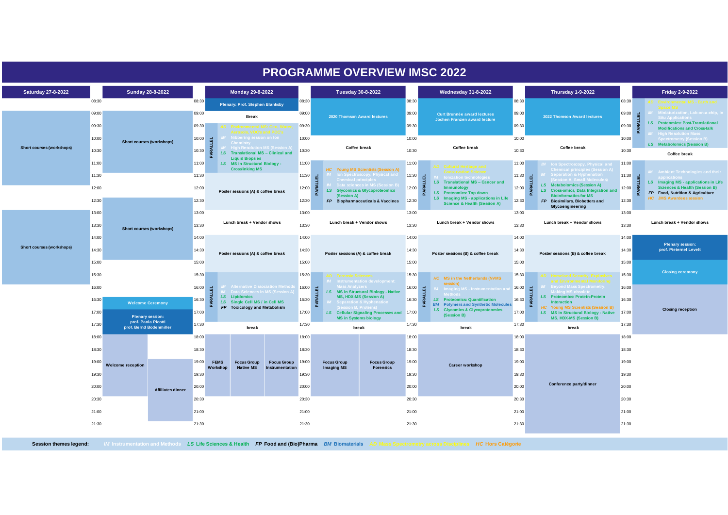|                                  |                |                                                                           |                           |                                   |                         |                                                                                |                                              |                                                                                       |                                                    | <b>PROGRAMME OVERVIEW IMSC 2022</b>                                                                                          |                                                |                                                                                 |                                                                                                                                                                         |                                                                                                                 |                                                                                                         |                                                                                                                |       |                  |
|----------------------------------|----------------|---------------------------------------------------------------------------|---------------------------|-----------------------------------|-------------------------|--------------------------------------------------------------------------------|----------------------------------------------|---------------------------------------------------------------------------------------|----------------------------------------------------|------------------------------------------------------------------------------------------------------------------------------|------------------------------------------------|---------------------------------------------------------------------------------|-------------------------------------------------------------------------------------------------------------------------------------------------------------------------|-----------------------------------------------------------------------------------------------------------------|---------------------------------------------------------------------------------------------------------|----------------------------------------------------------------------------------------------------------------|-------|------------------|
| Saturday 27-8-2022               |                | Sunday 28-8-2022                                                          |                           |                                   |                         | Monday 29-8-2022                                                               |                                              |                                                                                       |                                                    | <b>Tuesday 30-8-2022</b>                                                                                                     |                                                | <b>Wednesday 31-8-2022</b>                                                      |                                                                                                                                                                         | <b>Thursday 1-9-2022</b>                                                                                        |                                                                                                         | <b>Friday 2-9-2022</b>                                                                                         |       |                  |
|                                  | 08:30          |                                                                           |                           | 08:30                             |                         | <b>Plenary: Prof. Stephen Blanksby</b>                                         |                                              | 08:30                                                                                 |                                                    |                                                                                                                              | 08:30                                          |                                                                                 | 08:30                                                                                                                                                                   |                                                                                                                 | 08:30                                                                                                   |                                                                                                                |       |                  |
|                                  |                |                                                                           |                           | 09:00                             |                         | <b>Break</b>                                                                   |                                              | 09:00                                                                                 |                                                    | 2020 Thomson Award lectures                                                                                                  | 09:00                                          | <b>Curt Brunnée award lectures</b><br><b>Jochen Franzen award lecture</b>       | 09:00                                                                                                                                                                   | 2022 Thomson Award lectures                                                                                     | 09:00<br>同                                                                                              | ion, Lab-on-a-chip, I<br>Situ Annlication                                                                      |       |                  |
|                                  | 09:30          |                                                                           |                           | 09:30                             |                         | <b>AD</b> Environmental MS: Geo, Water,                                        |                                              | 09:30                                                                                 |                                                    |                                                                                                                              | 09:30                                          |                                                                                 | 09:30                                                                                                                                                                   |                                                                                                                 | PARAL<br>09:30                                                                                          | <b>LS</b> Proteomics: Post-Translational<br><b>Modifications and Cross-talk</b><br><b>High Resolution Mass</b> |       |                  |
|                                  | 10:00          | Short courses (workshops)                                                 |                           | 10:00                             |                         | Nibbering session on lon<br>ligh Resolution MS (Sessic                         |                                              | 10:00                                                                                 |                                                    |                                                                                                                              | 10:00                                          |                                                                                 | 10:00                                                                                                                                                                   |                                                                                                                 | 10:00                                                                                                   | ectrometry (Session B)  <br>LS Metabolomics (Session B)                                                        |       |                  |
| Short courses (workshops)        | 10:30          |                                                                           |                           | 10:30                             | ≨<br>Δ                  | LS Translational MS - Clinical and<br><b>Liquid Biopsies</b>                   |                                              | 10:30                                                                                 | <b>Coffee break</b>                                |                                                                                                                              | 10:30                                          | <b>Coffee break</b>                                                             | 10:30                                                                                                                                                                   | <b>Coffee break</b>                                                                                             | 10:30                                                                                                   | Coffee break                                                                                                   |       |                  |
|                                  | 11:00          |                                                                           |                           | 11:00                             |                         | LS MS in Structural Biology -<br><b>Crosslinking MS</b>                        |                                              | 11:00                                                                                 |                                                    | HC Young MS Scientists (Session A)                                                                                           | 11:00                                          | <b>AD</b> Cultural Heritage and                                                 | 11:00                                                                                                                                                                   | M Ion Spectroscopy, Physical and<br>Chemical principles (Session A)                                             | 11:00                                                                                                   | M Ambient Technologies and their                                                                               |       |                  |
|                                  | 11:30          |                                                                           |                           | 11:30                             |                         |                                                                                |                                              | $\begin{array}{ c c }\n11:30 & \underline{u} \\ \hline\n\vdots & \vdots\n\end{array}$ |                                                    | <b>IM</b> Ion Spectroscopy, Physical and<br>Chamical principles                                                              | 11:30<br>ARALLEL                               | <b>I</b> lonization technologies<br>LS Translational MS - Cancer and            | 11:30                                                                                                                                                                   | <b>M</b> Separation & Hyphenati<br>PARALLEL<br><b>Session A. Small Molecules</b><br>LS Metabolomics (Session A) | 11:30<br>围                                                                                              | LS Imaging MS - applications in Life                                                                           |       |                  |
|                                  | 12:00          |                                                                           |                           | 12:00                             |                         |                                                                                | Poster sessions (A) & coffee break           | 12:00                                                                                 | ்<br>LS Glycomics & Glycoproteomics<br>(Session A) |                                                                                                                              | 12:00<br>Immunology<br>LS Proteomics: Top down | 12:00                                                                           | LS Cross-omics, Data Integration and<br><b>Bioinformatics for MS</b>                                                                                                    | <b>ARAL</b><br>12:00                                                                                            | <b>Sciences &amp; Health (Session B)</b><br>FP Food, Nutrition & Agriculture<br>HC JMS Awardees session |                                                                                                                |       |                  |
|                                  | 12:30          |                                                                           |                           | 12:30                             |                         |                                                                                |                                              | 12:30                                                                                 |                                                    | FP Biopharmaceuticals & Vaccines                                                                                             | 12:30                                          | LS Imaging MS - applications in Life<br><b>Science &amp; Health (Session A)</b> | 12:30                                                                                                                                                                   | FP Biosimilars, Biobetters and<br>Glycoengineering                                                              | 12:30                                                                                                   |                                                                                                                |       |                  |
|                                  | 13:00          |                                                                           |                           | 13:00                             |                         |                                                                                |                                              | 13:00                                                                                 | Lunch break + Vendor shows                         |                                                                                                                              | 13:00                                          | Lunch break + Vendor shows                                                      | 13:00                                                                                                                                                                   | Lunch break + Vendor shows                                                                                      | 13:00                                                                                                   | Lunch break + Vendor shows                                                                                     |       |                  |
| <b>Short courses (workshops)</b> | 13:30          |                                                                           | Short courses (workshops) | 13:30                             |                         |                                                                                | Lunch break + Vendor shows                   |                                                                                       | 13:30                                              |                                                                                                                              |                                                | 13:30                                                                           |                                                                                                                                                                         | 13:30                                                                                                           |                                                                                                         |                                                                                                                | 13:30 |                  |
|                                  | 14:00          |                                                                           |                           |                                   |                         |                                                                                |                                              |                                                                                       |                                                    | 14:00                                                                                                                        |                                                |                                                                                 | 14:00                                                                                                                                                                   |                                                                                                                 | 14:00                                                                                                   |                                                                                                                | 14:00 | Plenary session: |
|                                  | 14:30          |                                                                           |                           | 14:30<br>15:00                    |                         | Poster sessions (A) & coffee break                                             |                                              | 14:30                                                                                 | Poster sessions (A) & coffee break                 | 14:30<br>Poster sessions (B) & coffee break                                                                                  | 14:30                                          | Poster sessions (B) & coffee break                                              | 14:30                                                                                                                                                                   | prof. Pieternel Levelt                                                                                          |                                                                                                         |                                                                                                                |       |                  |
|                                  | 15:00          |                                                                           |                           |                                   |                         |                                                                                |                                              | 15:00                                                                                 |                                                    |                                                                                                                              | 15:00                                          |                                                                                 | 15:00                                                                                                                                                                   |                                                                                                                 | 15:00                                                                                                   | <b>Closing ceremony</b>                                                                                        |       |                  |
|                                  | 15:30          |                                                                           |                           | 15:30                             |                         |                                                                                |                                              | 15:30                                                                                 | <b>Forensic Sciences</b>                           |                                                                                                                              | 15:30                                          | HC MS in the Netherlands (NVMS<br>session)                                      | 15:30                                                                                                                                                                   | <b>AD</b> Homeland Security, Explosive                                                                          | 15:30                                                                                                   |                                                                                                                |       |                  |
|                                  | 16:00          | <b>Welcome Ceremony</b><br><b>Plenary session:</b><br>prof. Paola Picotti |                           | $16:00$ $-1$<br>$\frac{16:30}{6}$ |                         | ternative Dissociation Meth<br>Data Sciences in MS (Session A<br>LS Lipidomics |                                              | $16:00$ <u>H</u>                                                                      | s Analyzers —                                      | LS MS in Structural Biology - Native<br><b>MS, HDX-MS (Session A)</b>                                                        | $16:00$ =                                      | <b>Imaging MS - Instrumentation ar</b>                                          | $\begin{array}{r} 16:00\\  \  \, 16:30\\  \  \, 0\\  \  \, 0\\ \end{array} \quad \begin{array}{r} \text{d} \\ \text{d} \\ \text{d} \\ \text{d} \\ \text{e} \end{array}$ | Beyond Mass Spectrometry:<br><b>Making MS obsolete</b><br><b>LS</b> Proteomics: Protein-Protein                 | 16:00                                                                                                   |                                                                                                                |       |                  |
|                                  | 16:30          |                                                                           |                           | 17:00                             |                         | LS Single Cell MS / in Cell MS<br>FP Toxicology and Metabolism                 |                                              | $16:30$ $Z$                                                                           | <b>Separation &amp; Hypher</b>                     | $16:30$ $Z$<br>LS Proteomics: Quantification<br><b>BM</b> Polymers and Synthetic Molecules<br>LS Glycomics & Glycoproteomics |                                                | Interaction<br>δ.<br>HC Young MS Scientists (Session B)                         | 16:30                                                                                                                                                                   | <b>Closing reception</b>                                                                                        |                                                                                                         |                                                                                                                |       |                  |
|                                  | 17:00<br>17:30 |                                                                           |                           |                                   |                         |                                                                                |                                              | 17:00                                                                                 | <b>MS in Systems biology</b>                       | LS Cellular Signaling Processes and 17:00                                                                                    |                                                | (Session B)                                                                     | 17:00                                                                                                                                                                   | LS MS in Structural Biology - Native<br>MS, HDX-MS (Session B)                                                  | 17:00                                                                                                   |                                                                                                                |       |                  |
|                                  |                | prof. Bernd Bodenmiller                                                   |                           | 17:30                             |                         | break                                                                          |                                              | 17:30                                                                                 |                                                    | break                                                                                                                        | 17:30                                          | break                                                                           | 17:30                                                                                                                                                                   | break                                                                                                           | 17:30                                                                                                   |                                                                                                                |       |                  |
|                                  | 18:00          |                                                                           |                           | 18:00                             |                         |                                                                                |                                              | 18:00                                                                                 |                                                    |                                                                                                                              | 18:00                                          |                                                                                 | 18:00                                                                                                                                                                   |                                                                                                                 | 18:00                                                                                                   |                                                                                                                |       |                  |
|                                  | 18:30          |                                                                           |                           | 18:30                             |                         |                                                                                |                                              | 18:30                                                                                 |                                                    |                                                                                                                              | 18:30                                          |                                                                                 | 18:30                                                                                                                                                                   |                                                                                                                 | 18:30                                                                                                   |                                                                                                                |       |                  |
|                                  | 19:00          | <b>Welcome reception</b>                                                  |                           | 19:00                             | <b>FEMS</b><br>Workshop | <b>Focus Group</b><br><b>Native MS</b>                                         | <b>Focus Group</b><br><b>Instrumentation</b> | 19:00                                                                                 | <b>Focus Group</b><br><b>Imaging MS</b>            | <b>Focus Group</b><br><b>Forensics</b>                                                                                       | 19:00                                          | <b>Career workshop</b>                                                          | 19:00                                                                                                                                                                   |                                                                                                                 | 19:00                                                                                                   |                                                                                                                |       |                  |
|                                  | 19:30          |                                                                           |                           | 19:30                             |                         |                                                                                |                                              | 19:30                                                                                 |                                                    |                                                                                                                              | 19:30                                          |                                                                                 | 19:30                                                                                                                                                                   | Conference party/dinner                                                                                         | 19:30                                                                                                   |                                                                                                                |       |                  |
|                                  | 20:00          |                                                                           | Affiliates dinner         | 20:00                             |                         |                                                                                |                                              | 20:00                                                                                 |                                                    |                                                                                                                              | 20:00                                          |                                                                                 | 20:00                                                                                                                                                                   |                                                                                                                 | 20:00                                                                                                   |                                                                                                                |       |                  |
|                                  |                | 20:30<br>21:00                                                            |                           | 20:30                             |                         |                                                                                |                                              | 20:30                                                                                 |                                                    |                                                                                                                              | 20:30                                          |                                                                                 | 20:30                                                                                                                                                                   |                                                                                                                 | 20:30<br>21:00                                                                                          |                                                                                                                |       |                  |
|                                  |                |                                                                           |                           | 21:00<br>21:00                    |                         | 21:00                                                                          |                                              | 21:00                                                                                 |                                                    |                                                                                                                              |                                                |                                                                                 |                                                                                                                                                                         |                                                                                                                 |                                                                                                         |                                                                                                                |       |                  |
|                                  | 21:30          |                                                                           |                           | 21:30                             |                         |                                                                                |                                              | 21:30                                                                                 |                                                    |                                                                                                                              | 21:30                                          |                                                                                 | 21:30                                                                                                                                                                   |                                                                                                                 | 21:30                                                                                                   |                                                                                                                |       |                  |
|                                  |                |                                                                           |                           |                                   |                         |                                                                                |                                              |                                                                                       |                                                    |                                                                                                                              |                                                |                                                                                 |                                                                                                                                                                         |                                                                                                                 |                                                                                                         |                                                                                                                |       |                  |

Session themes legend: MInstrumentation and Methods LS Life Sciences & Health FP Food and (Bio)Pharma BM Biomaterials AD Mass Spectrometry across Disciplines HC Hors Catégorie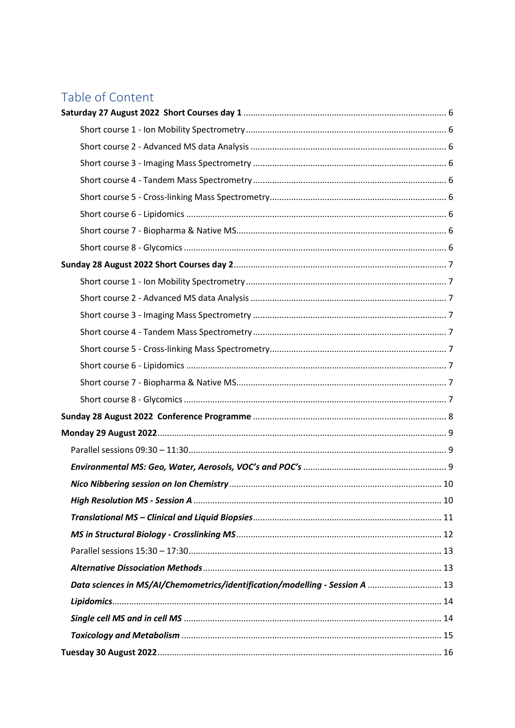## Table of Content

| Data sciences in MS/AI/Chemometrics/identification/modelling - Session A  13 |  |
|------------------------------------------------------------------------------|--|
|                                                                              |  |
|                                                                              |  |
|                                                                              |  |
|                                                                              |  |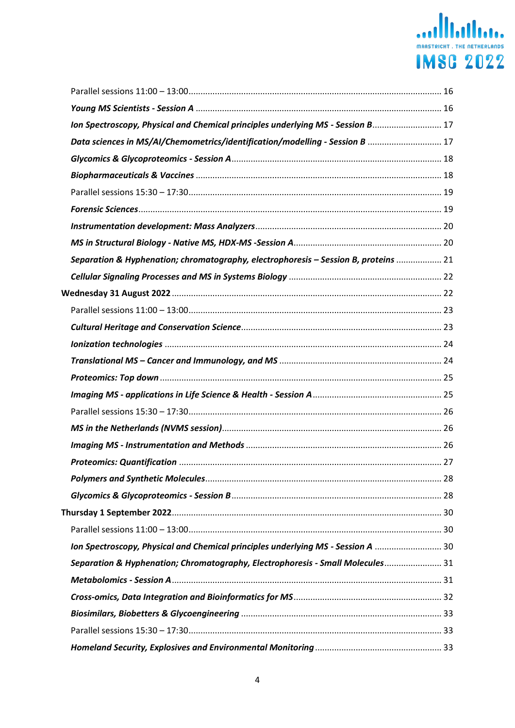# Malletter Comparison Comparison **IMSG 2022**

| Ion Spectroscopy, Physical and Chemical principles underlying MS - Session B 17     |  |
|-------------------------------------------------------------------------------------|--|
| Data sciences in MS/AI/Chemometrics/identification/modelling - Session B  17        |  |
|                                                                                     |  |
|                                                                                     |  |
|                                                                                     |  |
|                                                                                     |  |
|                                                                                     |  |
|                                                                                     |  |
| Separation & Hyphenation; chromatography, electrophoresis - Session B, proteins  21 |  |
|                                                                                     |  |
|                                                                                     |  |
|                                                                                     |  |
|                                                                                     |  |
|                                                                                     |  |
|                                                                                     |  |
|                                                                                     |  |
|                                                                                     |  |
|                                                                                     |  |
|                                                                                     |  |
|                                                                                     |  |
|                                                                                     |  |
|                                                                                     |  |
|                                                                                     |  |
|                                                                                     |  |
|                                                                                     |  |
| Ion Spectroscopy, Physical and Chemical principles underlying MS - Session A  30    |  |
| Separation & Hyphenation; Chromatography, Electrophoresis - Small Molecules 31      |  |
|                                                                                     |  |
|                                                                                     |  |
|                                                                                     |  |
|                                                                                     |  |
|                                                                                     |  |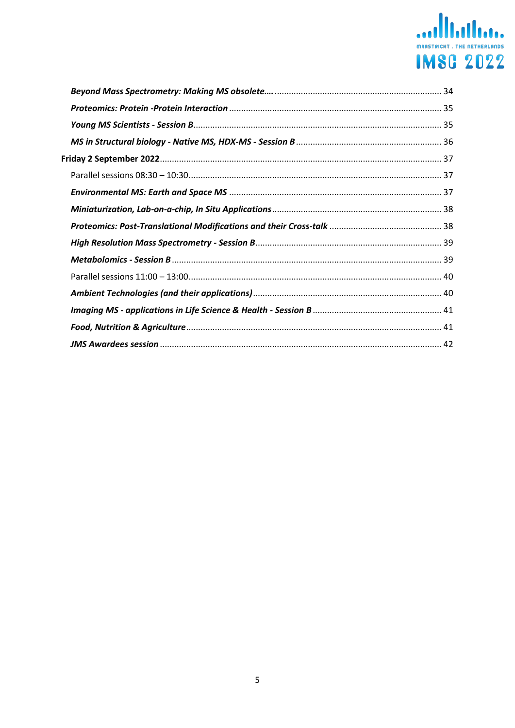## **MARSTRICHT. THE NETHERLANDS IMSG 2022**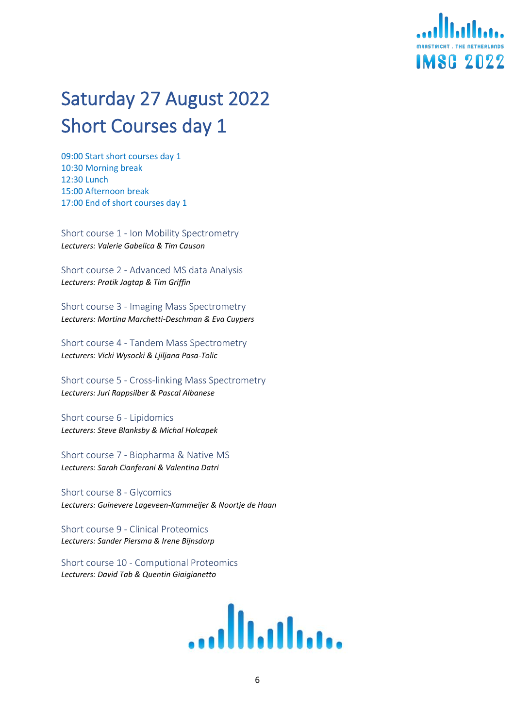

# <span id="page-5-0"></span>Saturday 27 August 2022 Short Courses day 1

09:00 Start short courses day 1 10:30 Morning break 12:30 Lunch 15:00 Afternoon break 17:00 End of short courses day 1

<span id="page-5-1"></span>Short course 1 - Ion Mobility Spectrometry *Lecturers: Valerie Gabelica & Tim Causon*

<span id="page-5-2"></span>Short course 2 - Advanced MS data Analysis *Lecturers: Pratik Jagtap & Tim Griffin*

<span id="page-5-3"></span>Short course 3 - Imaging Mass Spectrometry *Lecturers: Martina Marchetti-Deschman & Eva Cuypers*

<span id="page-5-4"></span>Short course 4 - Tandem Mass Spectrometry *Lecturers: Vicki Wysocki & Ljiljana Pasa-Tolic*

<span id="page-5-5"></span>Short course 5 - Cross-linking Mass Spectrometry *Lecturers: Juri Rappsilber & Pascal Albanese*

<span id="page-5-6"></span>Short course 6 - Lipidomics *Lecturers: Steve Blanksby & Michal Holcapek*

<span id="page-5-7"></span>Short course 7 - Biopharma & Native MS *Lecturers: Sarah Cianferani & Valentina Datri*

<span id="page-5-8"></span>Short course 8 - Glycomics *Lecturers: Guinevere Lageveen-Kammeijer & Noortje de Haan*

Short course 9 - Clinical Proteomics *Lecturers: Sander Piersma & Irene Bijnsdorp*

Short course 10 - Computional Proteomics *Lecturers: David Tab & Quentin Giaigianetto*

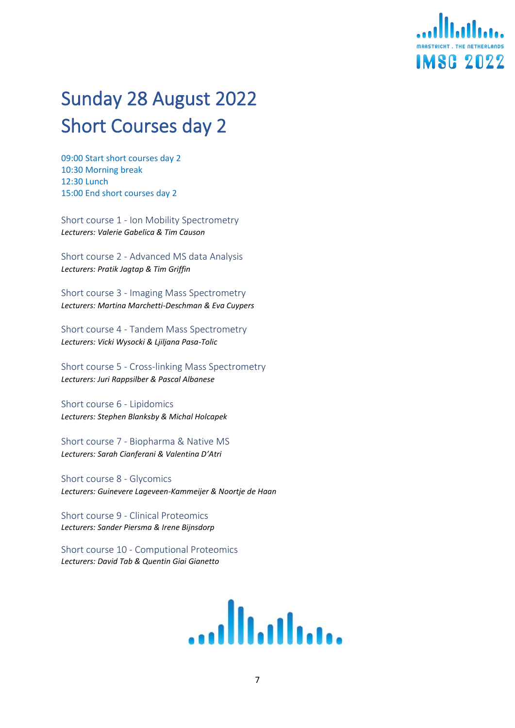# **IMSG 2022**

# <span id="page-6-0"></span>Sunday 28 August 2022 Short Courses day 2

09:00 Start short courses day 2 10:30 Morning break 12:30 Lunch 15:00 End short courses day 2

<span id="page-6-1"></span>Short course 1 - Ion Mobility Spectrometry *Lecturers: Valerie Gabelica & Tim Causon*

<span id="page-6-2"></span>Short course 2 - Advanced MS data Analysis *Lecturers: Pratik Jagtap & Tim Griffin*

<span id="page-6-3"></span>Short course 3 - Imaging Mass Spectrometry *Lecturers: Martina Marchetti-Deschman & Eva Cuypers*

<span id="page-6-4"></span>Short course 4 - Tandem Mass Spectrometry *Lecturers: Vicki Wysocki & Ljiljana Pasa-Tolic*

<span id="page-6-5"></span>Short course 5 - Cross-linking Mass Spectrometry *Lecturers: Juri Rappsilber & Pascal Albanese*

<span id="page-6-6"></span>Short course 6 - Lipidomics *Lecturers: Stephen Blanksby & Michal Holcapek*

<span id="page-6-7"></span>Short course 7 - Biopharma & Native MS *Lecturers: Sarah Cianferani & Valentina D'Atri*

<span id="page-6-8"></span>Short course 8 - Glycomics *Lecturers: Guinevere Lageveen-Kammeijer & Noortje de Haan*

Short course 9 - Clinical Proteomics *Lecturers: Sander Piersma & Irene Bijnsdorp*

Short course 10 - Computional Proteomics *Lecturers: David Tab & Quentin Giai Gianetto*

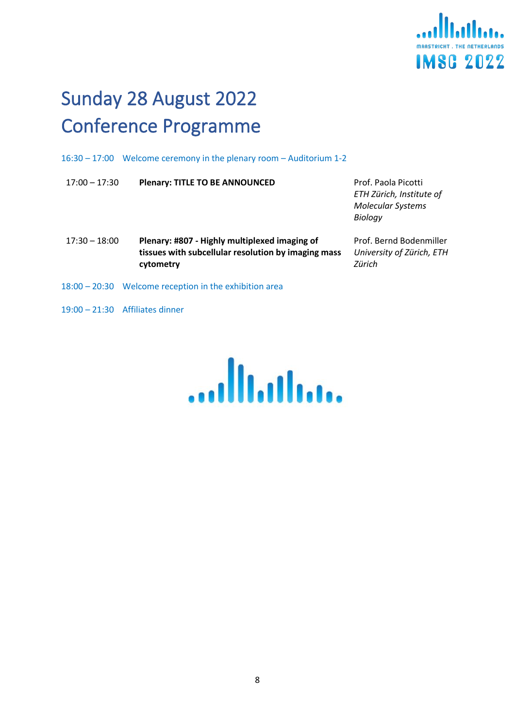

# <span id="page-7-0"></span>Sunday 28 August 2022 Conference Programme

16:30 – 17:00 Welcome ceremony in the plenary room – Auditorium 1-2

| $17:00 - 17:30$ | <b>Plenary: TITLE TO BE ANNOUNCED</b>                                                                             | Prof. Paola Picotti<br>ETH Zürich, Institute of<br><b>Molecular Systems</b><br>Biology |
|-----------------|-------------------------------------------------------------------------------------------------------------------|----------------------------------------------------------------------------------------|
| $17:30 - 18:00$ | Plenary: #807 - Highly multiplexed imaging of<br>tissues with subcellular resolution by imaging mass<br>cytometry | Prof. Bernd Bodenmiller<br>University of Zürich, ETH<br>Zürich                         |
|                 | 18:00 - 20:30 Welcome reception in the exhibition area                                                            |                                                                                        |

19:00 – 21:30 Affiliates dinner

<u>...</u><br>||||||||||||||...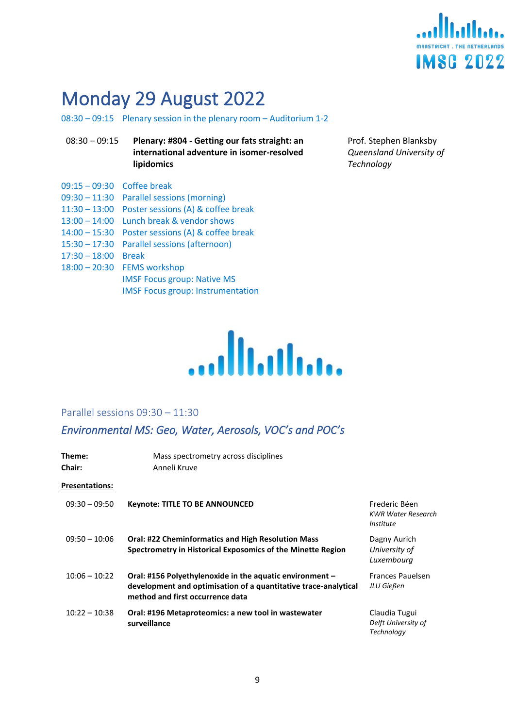

## <span id="page-8-0"></span>Monday 29 August 2022

08:30 – 09:15 Plenary session in the plenary room – Auditorium 1-2

- 08:30 09:15 **Plenary: #804 - Getting our fats straight: an international adventure in isomer-resolved lipidomics**
- 09:15 09:30 Coffee break
- 09:30 11:30 Parallel sessions (morning)
- 11:30 13:00 Poster sessions (A) & coffee break
- 13:00 14:00 Lunch break & vendor shows
- 14:00 15:30 Poster sessions (A) & coffee break
- 15:30 17:30 Parallel sessions (afternoon)
- 17:30 18:00 Break
- 18:00 20:30 FEMS workshop IMSF Focus group: Native MS IMSF Focus group: Instrumentation

Prof. Stephen Blanksby *Queensland University of Technology*



#### <span id="page-8-1"></span>Parallel sessions 09:30 – 11:30

## <span id="page-8-2"></span>*Environmental MS: Geo, Water, Aerosols, VOC's and POC's*

| Theme:                | Mass spectrometry across disciplines                                                                                                                            |                                                                       |
|-----------------------|-----------------------------------------------------------------------------------------------------------------------------------------------------------------|-----------------------------------------------------------------------|
| <b>Chair:</b>         | Anneli Kruve                                                                                                                                                    |                                                                       |
| <b>Presentations:</b> |                                                                                                                                                                 |                                                                       |
| $09:30 - 09:50$       | <b>Keynote: TITLE TO BE ANNOUNCED</b>                                                                                                                           | Frederic Béen<br><b>KWR Water Research</b><br><i><b>Institute</b></i> |
| $09:50 - 10:06$       | <b>Oral: #22 Cheminformatics and High Resolution Mass</b><br>Spectrometry in Historical Exposomics of the Minette Region                                        | Dagny Aurich<br>University of<br>Luxembourg                           |
| $10:06 - 10:22$       | Oral: #156 Polyethylenoxide in the aquatic environment -<br>development and optimisation of a quantitative trace-analytical<br>method and first occurrence data | <b>Frances Pauelsen</b><br>JLU Gießen                                 |
| $10:22 - 10:38$       | Oral: #196 Metaproteomics: a new tool in wastewater<br>surveillance                                                                                             | Claudia Tugui<br>Delft University of<br><b>Technology</b>             |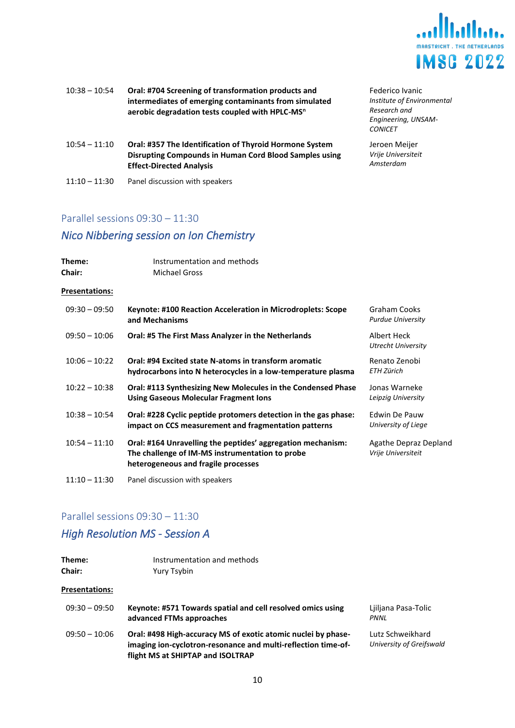

| $10:38 - 10:54$ | Oral: #704 Screening of transformation products and         |
|-----------------|-------------------------------------------------------------|
|                 | intermediates of emerging contaminants from simulated       |
|                 | aerobic degradation tests coupled with HPLC-MS <sup>n</sup> |
|                 |                                                             |

| Oral: #357 The Identification of Thyroid Hormone System |
|---------------------------------------------------------|
| Disrupting Compounds in Human Cord Blood Samples using  |
| <b>Effect-Directed Analysis</b>                         |
|                                                         |

11:10 – 11:30 Panel discussion with speakers

Federico Ivanic *Institute of Environmental Research and Engineering, UNSAM-CONICET*

Jeroen Meijer *Vrije Universiteit Amsterdam*

#### Parallel sessions 09:30 – 11:30

## <span id="page-9-0"></span>*Nico Nibbering session on Ion Chemistry*

| Theme:<br><b>Chair:</b> | Instrumentation and methods<br><b>Michael Gross</b>                                                                                                   |                                                 |
|-------------------------|-------------------------------------------------------------------------------------------------------------------------------------------------------|-------------------------------------------------|
| <b>Presentations:</b>   |                                                                                                                                                       |                                                 |
| $09:30 - 09:50$         | Keynote: #100 Reaction Acceleration in Microdroplets: Scope<br>and Mechanisms                                                                         | <b>Graham Cooks</b><br><b>Purdue University</b> |
| $09:50 - 10:06$         | Oral: #5 The First Mass Analyzer in the Netherlands                                                                                                   | Albert Heck<br><b>Utrecht University</b>        |
| $10:06 - 10:22$         | Oral: #94 Excited state N-atoms in transform aromatic<br>hydrocarbons into N heterocycles in a low-temperature plasma                                 | Renato Zenobi<br>ETH Zürich                     |
| $10:22 - 10:38$         | Oral: #113 Synthesizing New Molecules in the Condensed Phase<br><b>Using Gaseous Molecular Fragment Ions</b>                                          | Jonas Warneke<br>Leipzig University             |
| $10:38 - 10:54$         | Oral: #228 Cyclic peptide protomers detection in the gas phase:<br>impact on CCS measurement and fragmentation patterns                               | Edwin De Pauw<br>University of Liege            |
| $10:54 - 11:10$         | Oral: #164 Unravelling the peptides' aggregation mechanism:<br>The challenge of IM-MS instrumentation to probe<br>heterogeneous and fragile processes | Agathe Depraz Depland<br>Vrije Universiteit     |
| $11:10 - 11:30$         | Panel discussion with speakers                                                                                                                        |                                                 |

#### Parallel sessions 09:30 – 11:30

## <span id="page-9-1"></span>*High Resolution MS - Session A*

| Theme:                | Instrumentation and methods                                                                                                                                         |                                              |
|-----------------------|---------------------------------------------------------------------------------------------------------------------------------------------------------------------|----------------------------------------------|
| Chair:                | Yury Tsybin                                                                                                                                                         |                                              |
| <b>Presentations:</b> |                                                                                                                                                                     |                                              |
| $09:30 - 09:50$       | Keynote: #571 Towards spatial and cell resolved omics using<br>advanced FTMs approaches                                                                             | Liiliana Pasa-Tolic<br>PNNL                  |
| $09:50 - 10:06$       | Oral: #498 High-accuracy MS of exotic atomic nuclei by phase-<br>imaging ion-cyclotron-resonance and multi-reflection time-of-<br>flight MS at SHIPTAP and ISOLTRAP | Lutz Schweikhard<br>University of Greifswald |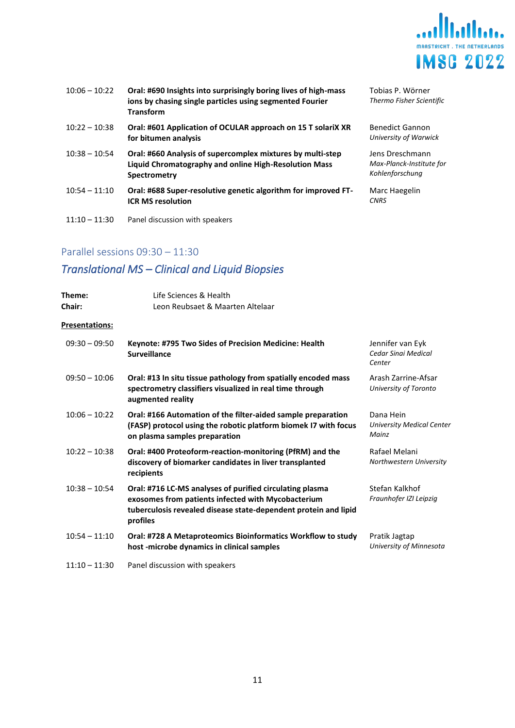

| $10:06 - 10:22$ | Oral: #690 Insights into surprisingly boring lives of high-mass<br>ions by chasing single particles using segmented Fourier<br><b>Transform</b> | Tobias<br><b>Thermo</b>        |
|-----------------|-------------------------------------------------------------------------------------------------------------------------------------------------|--------------------------------|
| $10:22 - 10:38$ | Oral: #601 Application of OCULAR approach on 15 T solariX XR<br>for bitumen analysis                                                            | Benedi<br>Universi             |
| $10:38 - 10:54$ | Oral: #660 Analysis of supercomplex mixtures by multi-step<br>Liquid Chromatography and online High-Resolution Mass<br>Spectrometry             | Jens Dr<br>Max-Pla<br>Kohlenfo |
| $10:54 - 11:10$ | Oral: #688 Super-resolutive genetic algorithm for improved FT-<br><b>ICR MS resolution</b>                                                      | Marc H<br><b>CNRS</b>          |
| $11:10 - 11:30$ | Panel discussion with speakers                                                                                                                  |                                |

P. Wörner *Thermo Fisher Scientific*

ct Gannon *University of Warwick*

reschmann *Max-Planck-Institute for*  .<br>*Korschung* 

laegelin

## Parallel sessions 09:30 – 11:30

## <span id="page-10-0"></span>*Translational MS – Clinical and Liquid Biopsies*

| Theme:<br><b>Chair:</b> | Life Sciences & Health<br>Leon Reubsaet & Maarten Altelaar                                                                                                                                    |                                                        |
|-------------------------|-----------------------------------------------------------------------------------------------------------------------------------------------------------------------------------------------|--------------------------------------------------------|
| <b>Presentations:</b>   |                                                                                                                                                                                               |                                                        |
| $09:30 - 09:50$         | Keynote: #795 Two Sides of Precision Medicine: Health<br><b>Surveillance</b>                                                                                                                  | Jennifer van Eyk<br>Cedar Sinai Medical<br>Center      |
| $09:50 - 10:06$         | Oral: #13 In situ tissue pathology from spatially encoded mass<br>spectrometry classifiers visualized in real time through<br>augmented reality                                               | Arash Zarrine-Afsar<br>University of Toronto           |
| $10:06 - 10:22$         | Oral: #166 Automation of the filter-aided sample preparation<br>(FASP) protocol using the robotic platform biomek I7 with focus<br>on plasma samples preparation                              | Dana Hein<br><b>University Medical Center</b><br>Mainz |
| $10:22 - 10:38$         | Oral: #400 Proteoform-reaction-monitoring (PfRM) and the<br>discovery of biomarker candidates in liver transplanted<br>recipients                                                             | Rafael Melani<br>Northwestern University               |
| $10:38 - 10:54$         | Oral: #716 LC-MS analyses of purified circulating plasma<br>exosomes from patients infected with Mycobacterium<br>tuberculosis revealed disease state-dependent protein and lipid<br>profiles | Stefan Kalkhof<br>Fraunhofer IZI Leipzig               |
| $10:54 - 11:10$         | Oral: #728 A Metaproteomics Bioinformatics Workflow to study<br>host-microbe dynamics in clinical samples                                                                                     | Pratik Jagtap<br>University of Minnesota               |
| $11:10 - 11:30$         | Panel discussion with speakers                                                                                                                                                                |                                                        |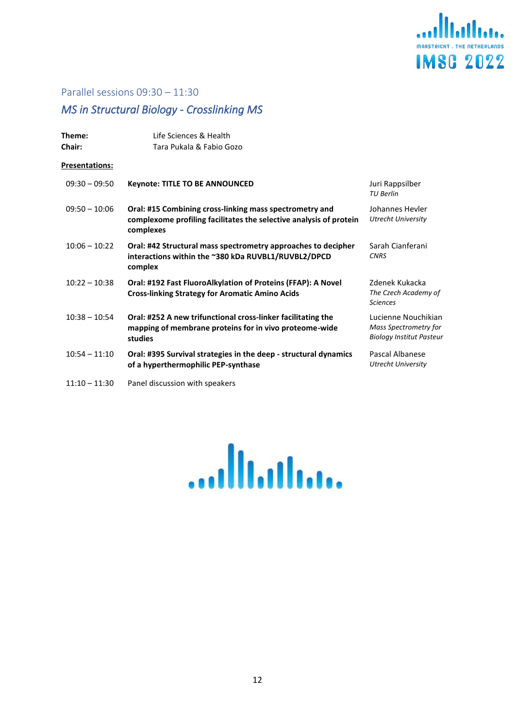

#### Parallel sessions 09:30 – 11:30

## <span id="page-11-0"></span>*MS in Structural Biology - Crosslinking MS*

| Theme:<br><b>Chair:</b> | Life Sciences & Health<br>Tara Pukala & Fabio Gozo                                                                                         |                                                                                        |
|-------------------------|--------------------------------------------------------------------------------------------------------------------------------------------|----------------------------------------------------------------------------------------|
| Presentations:          |                                                                                                                                            |                                                                                        |
| $09:30 - 09:50$         | <b>Keynote: TITLE TO BE ANNOUNCED</b>                                                                                                      | Juri Rappsilber<br><b>TU Berlin</b>                                                    |
| $09:50 - 10:06$         | Oral: #15 Combining cross-linking mass spectrometry and<br>complexome profiling facilitates the selective analysis of protein<br>complexes | Johannes Heyler<br><b>Utrecht University</b>                                           |
| $10:06 - 10:22$         | Oral: #42 Structural mass spectrometry approaches to decipher<br>interactions within the ~380 kDa RUVBL1/RUVBL2/DPCD<br>complex            | Sarah Cianferani<br><b>CNRS</b>                                                        |
| $10:22 - 10:38$         | Oral: #192 Fast FluoroAlkylation of Proteins (FFAP): A Novel<br><b>Cross-linking Strategy for Aromatic Amino Acids</b>                     | Zdenek Kukacka<br>The Czech Academy of<br><b>Sciences</b>                              |
| $10:38 - 10:54$         | Oral: #252 A new trifunctional cross-linker facilitating the<br>mapping of membrane proteins for in vivo proteome-wide<br>studies          | Lucienne Nouchikian<br><b>Mass Spectrometry for</b><br><b>Biology Institut Pasteur</b> |
| $10:54 - 11:10$         | Oral: #395 Survival strategies in the deep - structural dynamics<br>of a hyperthermophilic PEP-synthase                                    | Pascal Albanese<br><b>Utrecht University</b>                                           |

11:10 – 11:30 Panel discussion with speakers

....Illi.illi...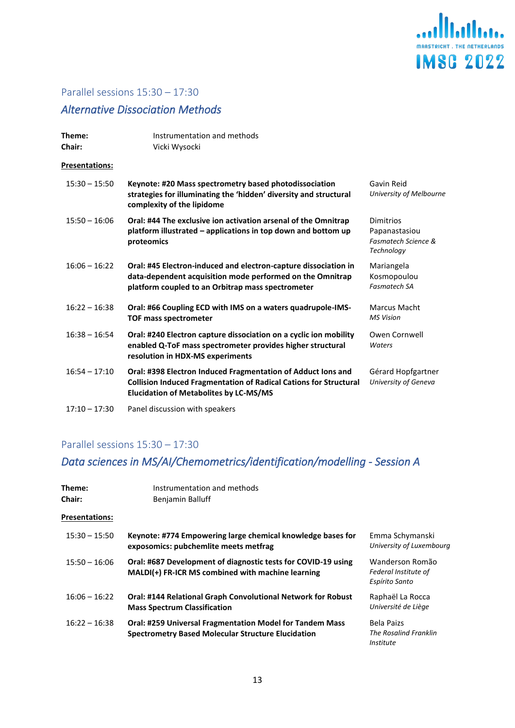

## <span id="page-12-1"></span><span id="page-12-0"></span>*Alternative Dissociation Methods*

| Theme:<br><b>Chair:</b> | Instrumentation and methods<br>Vicki Wysocki                                                                                                                                              |                                                                 |
|-------------------------|-------------------------------------------------------------------------------------------------------------------------------------------------------------------------------------------|-----------------------------------------------------------------|
| Presentations:          |                                                                                                                                                                                           |                                                                 |
| $15:30 - 15:50$         | Keynote: #20 Mass spectrometry based photodissociation<br>strategies for illuminating the 'hidden' diversity and structural<br>complexity of the lipidome                                 | Gavin Reid<br>University of Melbourne                           |
| $15:50 - 16:06$         | Oral: #44 The exclusive ion activation arsenal of the Omnitrap<br>platform illustrated - applications in top down and bottom up<br>proteomics                                             | Dimitrios<br>Papanastasiou<br>Fasmatech Science &<br>Technology |
| $16:06 - 16:22$         | Oral: #45 Electron-induced and electron-capture dissociation in<br>data-dependent acquisition mode performed on the Omnitrap<br>platform coupled to an Orbitrap mass spectrometer         | Mariangela<br>Kosmopoulou<br><b>Fasmatech SA</b>                |
| $16:22 - 16:38$         | Oral: #66 Coupling ECD with IMS on a waters quadrupole-IMS-<br><b>TOF mass spectrometer</b>                                                                                               | Marcus Macht<br><b>MS Vision</b>                                |
| $16:38 - 16:54$         | Oral: #240 Electron capture dissociation on a cyclic ion mobility<br>enabled Q-ToF mass spectrometer provides higher structural<br>resolution in HDX-MS experiments                       | Owen Cornwell<br>Waters                                         |
| $16:54 - 17:10$         | Oral: #398 Electron Induced Fragmentation of Adduct Ions and<br><b>Collision Induced Fragmentation of Radical Cations for Structural</b><br><b>Elucidation of Metabolites by LC-MS/MS</b> | Gérard Hopfgartner<br>University of Geneva                      |
| $17:10 - 17:30$         | Panel discussion with speakers                                                                                                                                                            |                                                                 |

## Parallel sessions 15:30 – 17:30

## <span id="page-12-2"></span>*Data sciences in MS/AI/Chemometrics/identification/modelling - Session A*

| Theme:<br><b>Chair:</b> | Instrumentation and methods<br>Benjamin Balluff                                                                              |                                                           |
|-------------------------|------------------------------------------------------------------------------------------------------------------------------|-----------------------------------------------------------|
| Presentations:          |                                                                                                                              |                                                           |
| $15:30 - 15:50$         | Keynote: #774 Empowering large chemical knowledge bases for<br>exposomics: pubchemlite meets metfrag                         | Emma Schymanski<br>University of Luxembourg               |
| $15:50 - 16:06$         | Oral: #687 Development of diagnostic tests for COVID-19 using<br>MALDI(+) FR-ICR MS combined with machine learning           | Wanderson Romão<br>Federal Institute of<br>Espírito Santo |
| $16:06 - 16:22$         | <b>Oral: #144 Relational Graph Convolutional Network for Robust</b><br><b>Mass Spectrum Classification</b>                   | Raphaël La Rocca<br>Université de Liège                   |
| $16:22 - 16:38$         | <b>Oral: #259 Universal Fragmentation Model for Tandem Mass</b><br><b>Spectrometry Based Molecular Structure Elucidation</b> | <b>Bela Paizs</b><br>The Rosalind Franklin<br>Institute   |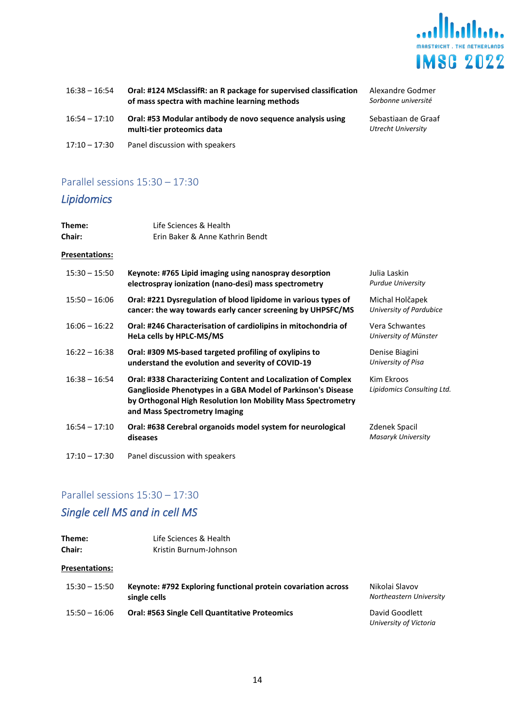

| $16:38 - 16:54$ | Oral: #124 MSclassifR: an R package for supervised classification<br>of mass spectra with machine learning methods | Alexandre Godmer<br>Sorbonne université   |
|-----------------|--------------------------------------------------------------------------------------------------------------------|-------------------------------------------|
| $16:54 - 17:10$ | Oral: #53 Modular antibody de novo sequence analysis using<br>multi-tier proteomics data                           | Sebastiaan de Graaf<br>Utrecht University |
| $17:10 - 17:30$ | Panel discussion with speakers                                                                                     |                                           |

## <span id="page-13-0"></span>*Lipidomics*

| Theme:<br>Chair:      | Life Sciences & Health<br>Erin Baker & Anne Kathrin Bendt                                                                                                                                                                      |                                            |
|-----------------------|--------------------------------------------------------------------------------------------------------------------------------------------------------------------------------------------------------------------------------|--------------------------------------------|
| <b>Presentations:</b> |                                                                                                                                                                                                                                |                                            |
| $15:30 - 15:50$       | Keynote: #765 Lipid imaging using nanospray desorption<br>electrospray ionization (nano-desi) mass spectrometry                                                                                                                | Julia Laskin<br><b>Purdue University</b>   |
| $15:50 - 16:06$       | Oral: #221 Dysregulation of blood lipidome in various types of<br>cancer: the way towards early cancer screening by UHPSFC/MS                                                                                                  | Michal Holčapek<br>University of Pardubice |
| $16:06 - 16:22$       | Oral: #246 Characterisation of cardiolipins in mitochondria of<br>HeLa cells by HPLC-MS/MS                                                                                                                                     | Vera Schwantes<br>University of Münster    |
| $16:22 - 16:38$       | Oral: #309 MS-based targeted profiling of oxylipins to<br>understand the evolution and severity of COVID-19                                                                                                                    | Denise Biagini<br>University of Pisa       |
| $16:38 - 16:54$       | Oral: #338 Characterizing Content and Localization of Complex<br>Ganglioside Phenotypes in a GBA Model of Parkinson's Disease<br>by Orthogonal High Resolution Ion Mobility Mass Spectrometry<br>and Mass Spectrometry Imaging | Kim Ekroos<br>Lipidomics Consulting Ltd.   |
| $16:54 - 17:10$       | Oral: #638 Cerebral organoids model system for neurological<br>diseases                                                                                                                                                        | Zdenek Spacil<br>Masaryk University        |
| $17:10 - 17:30$       | Panel discussion with speakers                                                                                                                                                                                                 |                                            |

## Parallel sessions 15:30 – 17:30

## <span id="page-13-1"></span>*Single cell MS and in cell MS*

| Theme:<br><b>Chair:</b> | Life Sciences & Health<br>Kristin Burnum-Johnson                              |                                           |
|-------------------------|-------------------------------------------------------------------------------|-------------------------------------------|
| <b>Presentations:</b>   |                                                                               |                                           |
| $15:30 - 15:50$         | Keynote: #792 Exploring functional protein covariation across<br>single cells | Nikolai Slavov<br>Northeastern University |
| $15:50 - 16:06$         | <b>Oral: #563 Single Cell Quantitative Proteomics</b>                         | David Goodlett<br>University of Victoria  |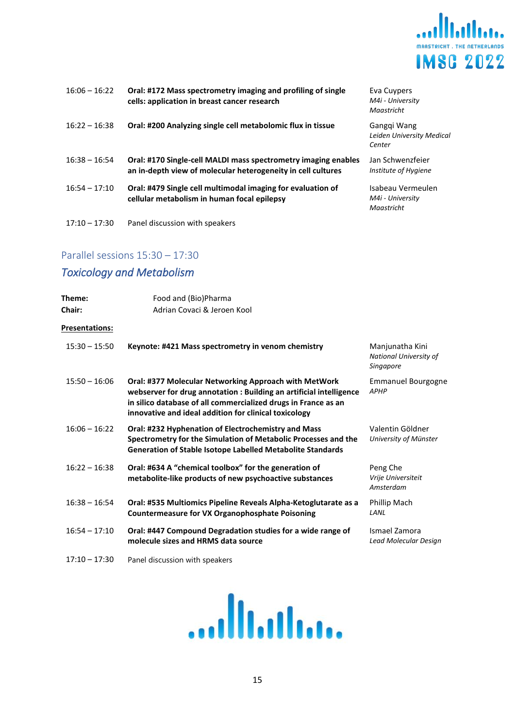

| $16:06 - 16:22$ | Oral: #172 Mass spectrometry imaging and profiling of single<br>cells: application in breast cancer research                   | Eva Cuypers<br>M4i - University<br>Maastricht       |
|-----------------|--------------------------------------------------------------------------------------------------------------------------------|-----------------------------------------------------|
| $16:22 - 16:38$ | Oral: #200 Analyzing single cell metabolomic flux in tissue                                                                    | Ganggi Wang<br>Leiden University Medical<br>Center  |
| $16:38 - 16:54$ | Oral: #170 Single-cell MALDI mass spectrometry imaging enables<br>an in-depth view of molecular heterogeneity in cell cultures | Jan Schwenzfeier<br>Institute of Hygiene            |
| $16:54 - 17:10$ | Oral: #479 Single cell multimodal imaging for evaluation of<br>cellular metabolism in human focal epilepsy                     | Isabeau Vermeulen<br>M4i - University<br>Maastricht |
| $17:10 - 17:30$ | Panel discussion with speakers                                                                                                 |                                                     |

## <span id="page-14-0"></span>*Toxicology and Metabolism*

| Theme:<br><b>Chair:</b> | Food and (Bio)Pharma<br>Adrian Covaci & Jeroen Kool                                                                                                                                                                                                     |                                                        |
|-------------------------|---------------------------------------------------------------------------------------------------------------------------------------------------------------------------------------------------------------------------------------------------------|--------------------------------------------------------|
| Presentations:          |                                                                                                                                                                                                                                                         |                                                        |
| $15:30 - 15:50$         | Keynote: #421 Mass spectrometry in venom chemistry                                                                                                                                                                                                      | Manjunatha Kini<br>National University of<br>Singapore |
| $15:50 - 16:06$         | Oral: #377 Molecular Networking Approach with MetWork<br>webserver for drug annotation : Building an artificial intelligence<br>in silico database of all commercialized drugs in France as an<br>innovative and ideal addition for clinical toxicology | <b>Emmanuel Bourgogne</b><br><b>APHP</b>               |
| $16:06 - 16:22$         | Oral: #232 Hyphenation of Electrochemistry and Mass<br>Spectrometry for the Simulation of Metabolic Processes and the<br><b>Generation of Stable Isotope Labelled Metabolite Standards</b>                                                              | Valentin Göldner<br>University of Münster              |
| $16:22 - 16:38$         | Oral: #634 A "chemical toolbox" for the generation of<br>metabolite-like products of new psychoactive substances                                                                                                                                        | Peng Che<br>Vrije Universiteit<br>Amsterdam            |
| $16:38 - 16:54$         | Oral: #535 Multiomics Pipeline Reveals Alpha-Ketoglutarate as a<br><b>Countermeasure for VX Organophosphate Poisoning</b>                                                                                                                               | Phillip Mach<br>LANL                                   |
| $16:54 - 17:10$         | Oral: #447 Compound Degradation studies for a wide range of<br>molecule sizes and HRMS data source                                                                                                                                                      | Ismael Zamora<br>Lead Molecular Design                 |
| $17:10 - 17:30$         | Panel discussion with speakers                                                                                                                                                                                                                          |                                                        |

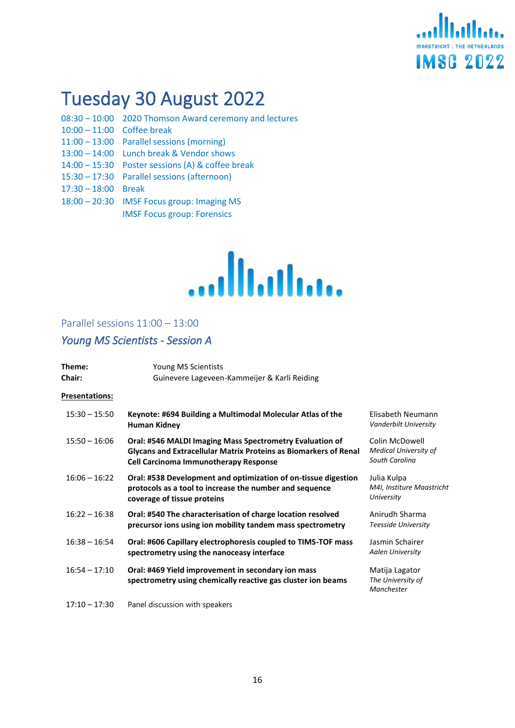# **Italia IMSC 2022**

# <span id="page-15-0"></span>Tuesday 30 August 2022

- 08:30 10:00 2020 Thomson Award ceremony and lectures 10:00 – 11:00 Coffee break
- 11:00 13:00 Parallel sessions (morning)
- 13:00 14:00 Lunch break & Vendor shows
- 14:00 15:30 Poster sessions (A) & coffee break
- 15:30 17:30 Parallel sessions (afternoon)
- 17:30 18:00 Break
- 18:00 20:30 IMSF Focus group: Imaging MS IMSF Focus group: Forensics



## <span id="page-15-1"></span>Parallel sessions 11:00 – 13:00

## <span id="page-15-2"></span>*Young MS Scientists - Session A*

| Theme:<br><b>Chair:</b> | Young MS Scientists<br>Guinevere Lageveen-Kammeijer & Karli Reiding                                                                                                          |                                                                  |
|-------------------------|------------------------------------------------------------------------------------------------------------------------------------------------------------------------------|------------------------------------------------------------------|
| <b>Presentations:</b>   |                                                                                                                                                                              |                                                                  |
| $15:30 - 15:50$         | Keynote: #694 Building a Multimodal Molecular Atlas of the<br>Human Kidney                                                                                                   | Elisabeth Neumann<br>Vanderbilt University                       |
| $15:50 - 16:06$         | Oral: #546 MALDI Imaging Mass Spectrometry Evaluation of<br>Glycans and Extracellular Matrix Proteins as Biomarkers of Renal<br><b>Cell Carcinoma Immunotherapy Response</b> | Colin McDowell<br><b>Medical University of</b><br>South Carolina |
| $16:06 - 16:22$         | Oral: #538 Development and optimization of on-tissue digestion<br>protocols as a tool to increase the number and sequence<br>coverage of tissue proteins                     | Julia Kulpa<br>M4I, Institure Maastricht<br>University           |
| $16:22 - 16:38$         | Oral: #540 The characterisation of charge location resolved<br>precursor ions using ion mobility tandem mass spectrometry                                                    | Anirudh Sharma<br>Teesside University                            |
| $16:38 - 16:54$         | Oral: #606 Capillary electrophoresis coupled to TIMS-TOF mass<br>spectrometry using the nanoceasy interface                                                                  | Jasmin Schairer<br><b>Aalen University</b>                       |
| $16:54 - 17:10$         | Oral: #469 Yield improvement in secondary ion mass<br>spectrometry using chemically reactive gas cluster ion beams                                                           | Matija Lagator<br>The University of<br>Manchester                |
| $17:10 - 17:30$         | Panel discussion with speakers                                                                                                                                               |                                                                  |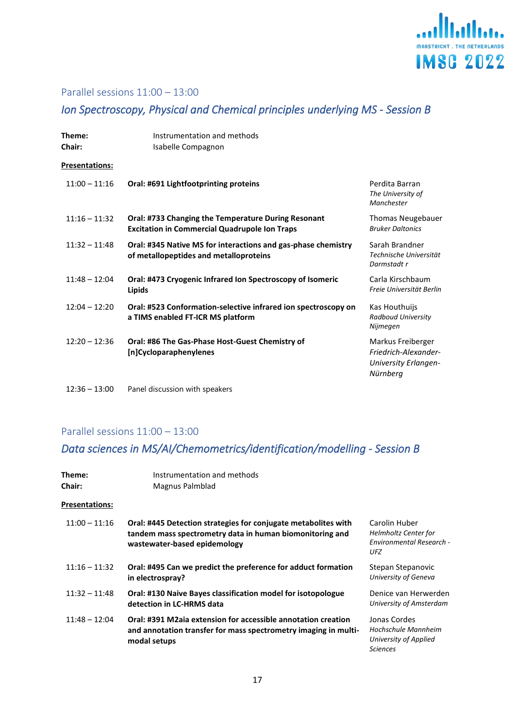

## Parallel sessions 11:00 – 13:00

## <span id="page-16-0"></span>*Ion Spectroscopy, Physical and Chemical principles underlying MS - Session B*

| Theme:<br><b>Chair:</b> | Instrumentation and methods<br>Isabelle Compagnon                                                           |                                                                                      |
|-------------------------|-------------------------------------------------------------------------------------------------------------|--------------------------------------------------------------------------------------|
| <b>Presentations:</b>   |                                                                                                             |                                                                                      |
| $11:00 - 11:16$         | Oral: #691 Lightfootprinting proteins                                                                       | Perdita Barran<br>The University of<br>Manchester                                    |
| $11:16 - 11:32$         | Oral: #733 Changing the Temperature During Resonant<br><b>Excitation in Commercial Quadrupole Ion Traps</b> | <b>Thomas Neugebauer</b><br><b>Bruker Daltonics</b>                                  |
| $11:32 - 11:48$         | Oral: #345 Native MS for interactions and gas-phase chemistry<br>of metallopeptides and metalloproteins     | Sarah Brandner<br>Technische Universität<br>Darmstadt r                              |
| $11:48 - 12:04$         | Oral: #473 Cryogenic Infrared Ion Spectroscopy of Isomeric<br>Lipids                                        | Carla Kirschbaum<br>Freie Universität Berlin                                         |
| $12:04 - 12:20$         | Oral: #523 Conformation-selective infrared ion spectroscopy on<br>a TIMS enabled FT-ICR MS platform         | Kas Houthuijs<br>Radboud University<br>Nijmegen                                      |
| $12:20 - 12:36$         | Oral: #86 The Gas-Phase Host-Guest Chemistry of<br>[n]Cycloparaphenylenes                                   | Markus Freiberger<br>Friedrich-Alexander-<br><b>University Erlangen-</b><br>Nürnberg |
| $12:36 - 13:00$         | Panel discussion with speakers                                                                              |                                                                                      |

## Parallel sessions 11:00 – 13:00

## <span id="page-16-1"></span>*Data sciences in MS/AI/Chemometrics/identification/modelling - Session B*

| Theme:<br><b>Chair:</b> | Instrumentation and methods<br>Magnus Palmblad                                                                                                             |                                                                                 |
|-------------------------|------------------------------------------------------------------------------------------------------------------------------------------------------------|---------------------------------------------------------------------------------|
| <b>Presentations:</b>   |                                                                                                                                                            |                                                                                 |
| $11:00 - 11:16$         | Oral: #445 Detection strategies for conjugate metabolites with<br>tandem mass spectrometry data in human biomonitoring and<br>wastewater-based epidemology | Carolin Huber<br><b>Helmholtz Center for</b><br>Environmental Research -<br>UFZ |
| $11:16 - 11:32$         | Oral: #495 Can we predict the preference for adduct formation<br>in electrospray?                                                                          | Stepan Stepanovic<br>University of Geneva                                       |
| $11:32 - 11:48$         | Oral: #130 Naive Bayes classification model for isotopologue<br>detection in LC-HRMS data                                                                  | Denice van Herwerden<br>University of Amsterdam                                 |
| $11:48 - 12:04$         | Oral: #391 M2aia extension for accessible annotation creation<br>and annotation transfer for mass spectrometry imaging in multi-<br>modal setups           | Jonas Cordes<br>Hochschule Mannheim<br>University of Applied<br><b>Sciences</b> |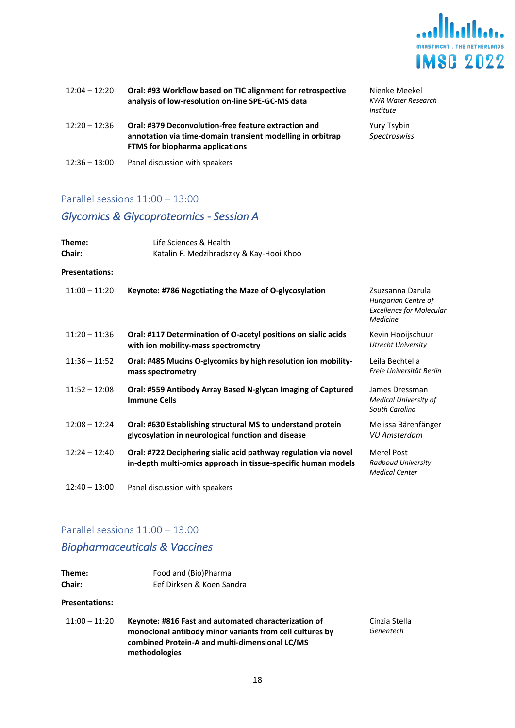

| $12:04 - 12:20$ | Oral: #93 Workflow based on TIC alignment for retrospective<br>analysis of low-resolution on-line SPE-GC-MS data                                             | Nienke Meekel<br><b>KWR Water Research</b><br>Institute |
|-----------------|--------------------------------------------------------------------------------------------------------------------------------------------------------------|---------------------------------------------------------|
| $12:20 - 12:36$ | Oral: #379 Deconvolution-free feature extraction and<br>annotation via time-domain transient modelling in orbitrap<br><b>FTMS</b> for biopharma applications | Yury Tsybin<br><b>Spectroswiss</b>                      |
| $12:36 - 13:00$ | Panel discussion with speakers                                                                                                                               |                                                         |

## Parallel sessions 11:00 – 13:00

## <span id="page-17-0"></span>*Glycomics & Glycoproteomics - Session A*

| Theme:<br>Chair: | Life Sciences & Health<br>Katalin F. Medzihradszky & Kay-Hooi Khoo                                                               |                                                                                        |
|------------------|----------------------------------------------------------------------------------------------------------------------------------|----------------------------------------------------------------------------------------|
| Presentations:   |                                                                                                                                  |                                                                                        |
| $11:00 - 11:20$  | Keynote: #786 Negotiating the Maze of O-glycosylation                                                                            | Zsuzsanna Darula<br>Hungarian Centre of<br><b>Excellence for Molecular</b><br>Medicine |
| $11:20 - 11:36$  | Oral: #117 Determination of O-acetyl positions on sialic acids<br>with ion mobility-mass spectrometry                            | Kevin Hooijschuur<br><b>Utrecht University</b>                                         |
| $11:36 - 11:52$  | Oral: #485 Mucins O-glycomics by high resolution ion mobility-<br>mass spectrometry                                              | Leila Bechtella<br>Freie Universität Berlin                                            |
| $11:52 - 12:08$  | Oral: #559 Antibody Array Based N-glycan Imaging of Captured<br><b>Immune Cells</b>                                              | James Dressman<br><b>Medical University of</b><br>South Carolina                       |
| $12:08 - 12:24$  | Oral: #630 Establishing structural MS to understand protein<br>glycosylation in neurological function and disease                | Melissa Bärenfänger<br><b>VU Amsterdam</b>                                             |
| $12:24 - 12:40$  | Oral: #722 Deciphering sialic acid pathway regulation via novel<br>in-depth multi-omics approach in tissue-specific human models | <b>Merel Post</b><br>Radboud University<br><b>Medical Center</b>                       |
| $12:40 - 13:00$  | Panel discussion with speakers                                                                                                   |                                                                                        |

## Parallel sessions 11:00 – 13:00

## <span id="page-17-1"></span>*Biopharmaceuticals & Vaccines*

| Theme:        | Food and (Bio)Pharma      |
|---------------|---------------------------|
| <b>Chair:</b> | Eef Dirksen & Koen Sandra |

#### **Presentations:**

| 11:00 – 11:20 | Keynote: #816 Fast and automated characterization of     |
|---------------|----------------------------------------------------------|
|               | monoclonal antibody minor variants from cell cultures by |
|               | combined Protein-A and multi-dimensional LC/MS           |
|               | methodologies                                            |

Cinzia Stella *Genentech*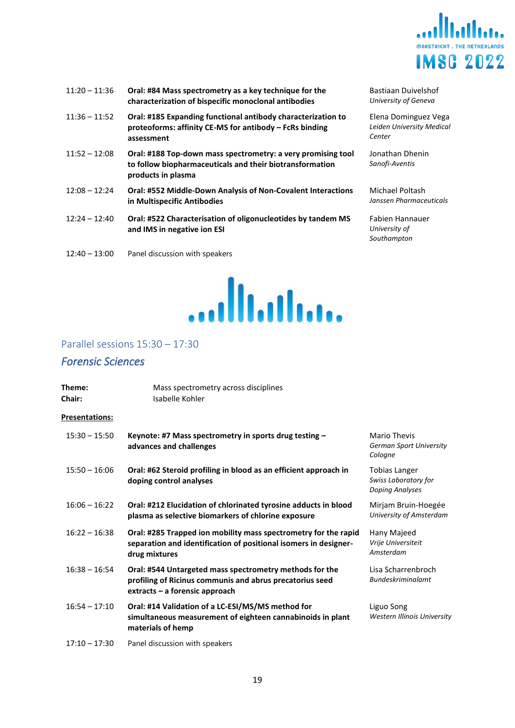

| 11:20 – 11:36 | Oral: #84 Mass spectrometry as a key technique for the |  |
|---------------|--------------------------------------------------------|--|
|               | characterization of bispecific monoclonal antibodies   |  |

- 11:36 11:52 **Oral: #185 Expanding functional antibody characterization to proteoforms: affinity CE-MS for antibody – FcRs binding assessment**
- 11:52 12:08 **Oral: #188 Top-down mass spectrometry: a very promising tool to follow biopharmaceuticals and their biotransformation products in plasma**
- 12:08 12:24 **Oral: #552 Middle-Down Analysis of Non-Covalent Interactions in Multispecific Antibodies**
- 12:24 12:40 **Oral: #522 Characterisation of oligonucleotides by tandem MS and IMS in negative ion ESI**
- 12:40 13:00 Panel discussion with speakers



Bastiaan Duivelshof *University of Geneva*

Elena Dominguez Vega *Leiden University Medical Center*

Jonathan Dhenin *Sanofi-Aventis*

Michael Poltash *Janssen Pharmaceuticals*

Fabien Hannauer *University of Southampton*

#### <span id="page-18-0"></span>Parallel sessions 15:30 – 17:30

#### <span id="page-18-1"></span>*Forensic Sciences*

| Theme:<br>Chair:      | Mass spectrometry across disciplines<br>Isabelle Kohler                                                                                               |                                                                 |
|-----------------------|-------------------------------------------------------------------------------------------------------------------------------------------------------|-----------------------------------------------------------------|
| <b>Presentations:</b> |                                                                                                                                                       |                                                                 |
| $15:30 - 15:50$       | Keynote: #7 Mass spectrometry in sports drug testing -<br>advances and challenges                                                                     | <b>Mario Thevis</b><br>German Sport University<br>Cologne       |
| $15:50 - 16:06$       | Oral: #62 Steroid profiling in blood as an efficient approach in<br>doping control analyses                                                           | Tobias Langer<br>Swiss Laboratory for<br><b>Doping Analyses</b> |
| $16:06 - 16:22$       | Oral: #212 Elucidation of chlorinated tyrosine adducts in blood<br>plasma as selective biomarkers of chlorine exposure                                | Mirjam Bruin-Hoegée<br>University of Amsterdam                  |
| $16:22 - 16:38$       | Oral: #285 Trapped ion mobility mass spectrometry for the rapid<br>separation and identification of positional isomers in designer-<br>drug mixtures  | Hany Majeed<br>Vrije Universiteit<br>Amsterdam                  |
| $16:38 - 16:54$       | Oral: #544 Untargeted mass spectrometry methods for the<br>profiling of Ricinus communis and abrus precatorius seed<br>extracts - a forensic approach | Lisa Scharrenbroch<br><b>Bundeskriminalamt</b>                  |
| $16:54 - 17:10$       | Oral: #14 Validation of a LC-ESI/MS/MS method for<br>simultaneous measurement of eighteen cannabinoids in plant<br>materials of hemp                  | Liguo Song<br>Western Illinois University                       |
| $17:10 - 17:30$       | Panel discussion with speakers                                                                                                                        |                                                                 |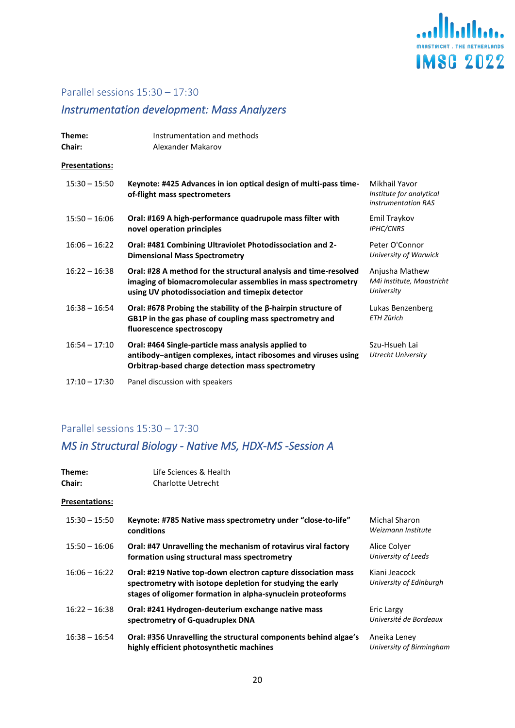

## <span id="page-19-0"></span>*Instrumentation development: Mass Analyzers*

| Theme:<br>Chair:      | Instrumentation and methods<br>Alexander Makarov                                                                                                                                    |                                                                  |
|-----------------------|-------------------------------------------------------------------------------------------------------------------------------------------------------------------------------------|------------------------------------------------------------------|
| <b>Presentations:</b> |                                                                                                                                                                                     |                                                                  |
| $15:30 - 15:50$       | Keynote: #425 Advances in ion optical design of multi-pass time-<br>of-flight mass spectrometers                                                                                    | Mikhail Yavor<br>Institute for analytical<br>instrumentation RAS |
| $15:50 - 16:06$       | Oral: #169 A high-performance quadrupole mass filter with<br>novel operation principles                                                                                             | Emil Traykov<br><b>IPHC/CNRS</b>                                 |
| $16:06 - 16:22$       | Oral: #481 Combining Ultraviolet Photodissociation and 2-<br><b>Dimensional Mass Spectrometry</b>                                                                                   | Peter O'Connor<br>University of Warwick                          |
| $16:22 - 16:38$       | Oral: #28 A method for the structural analysis and time-resolved<br>imaging of biomacromolecular assemblies in mass spectrometry<br>using UV photodissociation and timepix detector | Anjusha Mathew<br>M4i Institute, Maastricht<br>University        |
| $16:38 - 16:54$       | Oral: #678 Probing the stability of the $\beta$ -hairpin structure of<br>GB1P in the gas phase of coupling mass spectrometry and<br>fluorescence spectroscopy                       | Lukas Benzenberg<br><b>ETH Zürich</b>                            |
| $16:54 - 17:10$       | Oral: #464 Single-particle mass analysis applied to<br>antibody-antigen complexes, intact ribosomes and viruses using<br>Orbitrap-based charge detection mass spectrometry          | Szu-Hsueh Lai<br><b>Utrecht University</b>                       |
| $17:10 - 17:30$       | Panel discussion with speakers                                                                                                                                                      |                                                                  |

## Parallel sessions 15:30 – 17:30

## <span id="page-19-1"></span>*MS in Structural Biology - Native MS, HDX-MS -Session A*

| Theme:<br><b>Chair:</b> | Life Sciences & Health<br>Charlotte Uetrecht                                                                                                                                               |                                          |
|-------------------------|--------------------------------------------------------------------------------------------------------------------------------------------------------------------------------------------|------------------------------------------|
| <b>Presentations:</b>   |                                                                                                                                                                                            |                                          |
| $15:30 - 15:50$         | Keynote: #785 Native mass spectrometry under "close-to-life"<br>conditions                                                                                                                 | Michal Sharon<br>Weizmann Institute      |
| $15:50 - 16:06$         | Oral: #47 Unravelling the mechanism of rotavirus viral factory<br>formation using structural mass spectrometry                                                                             | Alice Colver<br>University of Leeds      |
| $16:06 - 16:22$         | Oral: #219 Native top-down electron capture dissociation mass<br>spectrometry with isotope depletion for studying the early<br>stages of oligomer formation in alpha-synuclein proteoforms | Kiani Jeacock<br>University of Edinburgh |
| $16:22 - 16:38$         | Oral: #241 Hydrogen-deuterium exchange native mass<br>spectrometry of G-quadruplex DNA                                                                                                     | Eric Largy<br>Université de Bordeaux     |
| $16:38 - 16:54$         | Oral: #356 Unravelling the structural components behind algae's<br>highly efficient photosynthetic machines                                                                                | Aneika Leney<br>University of Birmingham |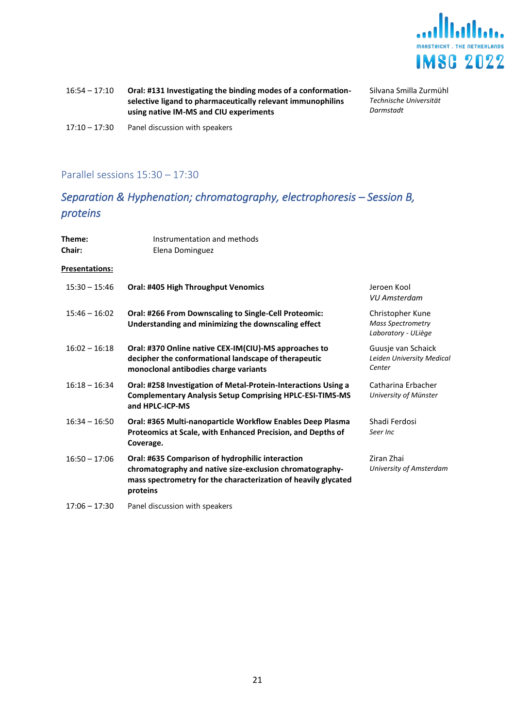

16:54 – 17:10 **Oral: #131 Investigating the binding modes of a conformationselective ligand to pharmaceutically relevant immunophilins using native IM-MS and CIU experiments**

Silvana Smilla Zurmühl *Technische Universität Darmstadt*

17:10 – 17:30 Panel discussion with speakers

#### Parallel sessions 15:30 – 17:30

## <span id="page-20-0"></span>*Separation & Hyphenation; chromatography, electrophoresis – Session B, proteins*

| Theme:<br><b>Chair:</b> | Instrumentation and methods<br>Elena Dominguez                                                                                                                                             |                                                                     |
|-------------------------|--------------------------------------------------------------------------------------------------------------------------------------------------------------------------------------------|---------------------------------------------------------------------|
| Presentations:          |                                                                                                                                                                                            |                                                                     |
| $15:30 - 15:46$         | Oral: #405 High Throughput Venomics                                                                                                                                                        | Jeroen Kool<br>VU Amsterdam                                         |
| $15:46 - 16:02$         | Oral: #266 From Downscaling to Single-Cell Proteomic:<br>Understanding and minimizing the downscaling effect                                                                               | Christopher Kune<br><b>Mass Spectrometry</b><br>Laboratory - ULiège |
| $16:02 - 16:18$         | Oral: #370 Online native CEX-IM(CIU)-MS approaches to<br>decipher the conformational landscape of therapeutic<br>monoclonal antibodies charge variants                                     | Guusie van Schaick<br>Leiden University Medical<br>Center           |
| $16:18 - 16:34$         | Oral: #258 Investigation of Metal-Protein-Interactions Using a<br><b>Complementary Analysis Setup Comprising HPLC-ESI-TIMS-MS</b><br>and HPLC-ICP-MS                                       | Catharina Erbacher<br>University of Münster                         |
| $16:34 - 16:50$         | Oral: #365 Multi-nanoparticle Workflow Enables Deep Plasma<br>Proteomics at Scale, with Enhanced Precision, and Depths of<br>Coverage.                                                     | Shadi Ferdosi<br>Seer Inc                                           |
| $16:50 - 17:06$         | Oral: #635 Comparison of hydrophilic interaction<br>chromatography and native size-exclusion chromatography-<br>mass spectrometry for the characterization of heavily glycated<br>proteins | Ziran Zhai<br>University of Amsterdam                               |
| $17:06 - 17:30$         | Panel discussion with speakers                                                                                                                                                             |                                                                     |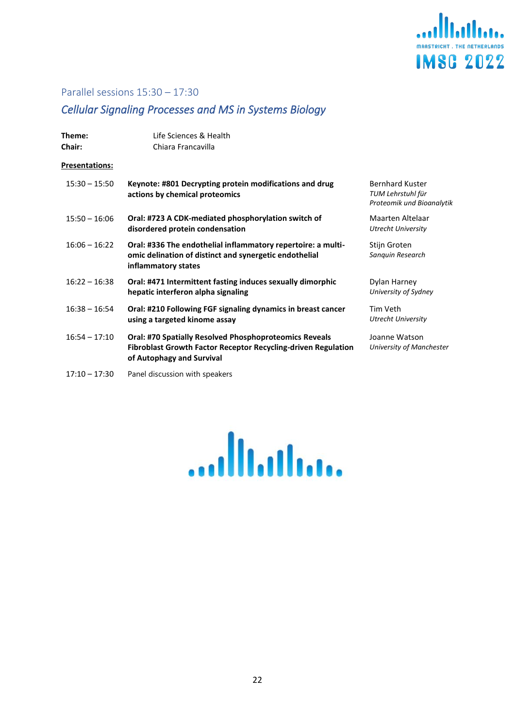

## <span id="page-21-0"></span>*Cellular Signaling Processes and MS in Systems Biology*

| Theme:<br><b>Chair:</b> | Life Sciences & Health<br>Chiara Francavilla                                                                                                                       |                                                                          |
|-------------------------|--------------------------------------------------------------------------------------------------------------------------------------------------------------------|--------------------------------------------------------------------------|
| Presentations:          |                                                                                                                                                                    |                                                                          |
| $15:30 - 15:50$         | Keynote: #801 Decrypting protein modifications and drug<br>actions by chemical proteomics                                                                          | <b>Bernhard Kuster</b><br>TUM Lehrstuhl für<br>Proteomik und Bioanalytik |
| $15:50 - 16:06$         | Oral: #723 A CDK-mediated phosphorylation switch of<br>disordered protein condensation                                                                             | Maarten Altelaar<br><b>Utrecht University</b>                            |
| $16:06 - 16:22$         | Oral: #336 The endothelial inflammatory repertoire: a multi-<br>omic delination of distinct and synergetic endothelial<br>inflammatory states                      | Stijn Groten<br>Sanquin Research                                         |
| $16:22 - 16:38$         | Oral: #471 Intermittent fasting induces sexually dimorphic<br>hepatic interferon alpha signaling                                                                   | Dylan Harney<br>University of Sydney                                     |
| $16:38 - 16:54$         | Oral: #210 Following FGF signaling dynamics in breast cancer<br>using a targeted kinome assay                                                                      | Tim Veth<br>Utrecht University                                           |
| $16:54 - 17:10$         | <b>Oral: #70 Spatially Resolved Phosphoproteomics Reveals</b><br><b>Fibroblast Growth Factor Receptor Recycling-driven Regulation</b><br>of Autophagy and Survival | Joanne Watson<br>University of Manchester                                |
| $17:10 - 17:30$         | Panel discussion with speakers                                                                                                                                     |                                                                          |

<span id="page-21-1"></span>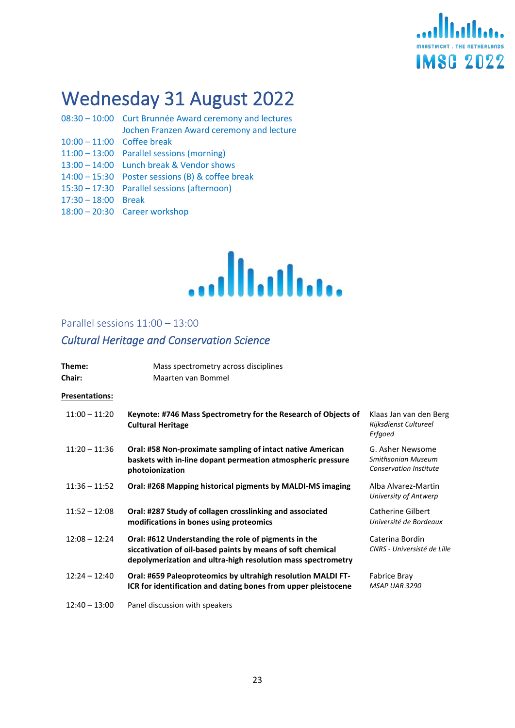

# Wednesday 31 August 2022

- 08:30 10:00 Curt Brunnée Award ceremony and lectures Jochen Franzen Award ceremony and lecture 10:00 – 11:00 Coffee break 11:00 – 13:00 Parallel sessions (morning) 13:00 – 14:00 Lunch break & Vendor shows 14:00 – 15:30 Poster sessions (B) & coffee break
- 15:30 17:30 Parallel sessions (afternoon)
- 17:30 18:00 Break
- 18:00 20:30 Career workshop



#### <span id="page-22-0"></span>Parallel sessions 11:00 – 13:00

## <span id="page-22-1"></span>*Cultural Heritage and Conservation Science*

| Theme:<br><b>Chair:</b> | Mass spectrometry across disciplines<br>Maarten van Bommel                                                                                                                          |                                                                         |
|-------------------------|-------------------------------------------------------------------------------------------------------------------------------------------------------------------------------------|-------------------------------------------------------------------------|
| <b>Presentations:</b>   |                                                                                                                                                                                     |                                                                         |
| $11:00 - 11:20$         | Keynote: #746 Mass Spectrometry for the Research of Objects of<br><b>Cultural Heritage</b>                                                                                          | Klaas Jan van den Berg<br>Rijksdienst Cultureel<br>Erfgoed              |
| $11:20 - 11:36$         | Oral: #58 Non-proximate sampling of intact native American<br>baskets with in-line dopant permeation atmospheric pressure<br>photoionization                                        | G. Asher Newsome<br>Smithsonian Museum<br><b>Conservation Institute</b> |
| $11:36 - 11:52$         | Oral: #268 Mapping historical pigments by MALDI-MS imaging                                                                                                                          | Alba Alvarez-Martin<br>University of Antwerp                            |
| $11:52 - 12:08$         | Oral: #287 Study of collagen crosslinking and associated<br>modifications in bones using proteomics                                                                                 | Catherine Gilbert<br>Université de Bordeaux                             |
| $12:08 - 12:24$         | Oral: #612 Understanding the role of pigments in the<br>siccativation of oil-based paints by means of soft chemical<br>depolymerization and ultra-high resolution mass spectrometry | Caterina Bordin<br>CNRS - Universisté de Lille                          |
| $12:24 - 12:40$         | Oral: #659 Paleoproteomics by ultrahigh resolution MALDI FT-<br>ICR for identification and dating bones from upper pleistocene                                                      | Fabrice Bray<br><b>MSAP UAR 3290</b>                                    |
| $12:40 - 13:00$         | Panel discussion with speakers                                                                                                                                                      |                                                                         |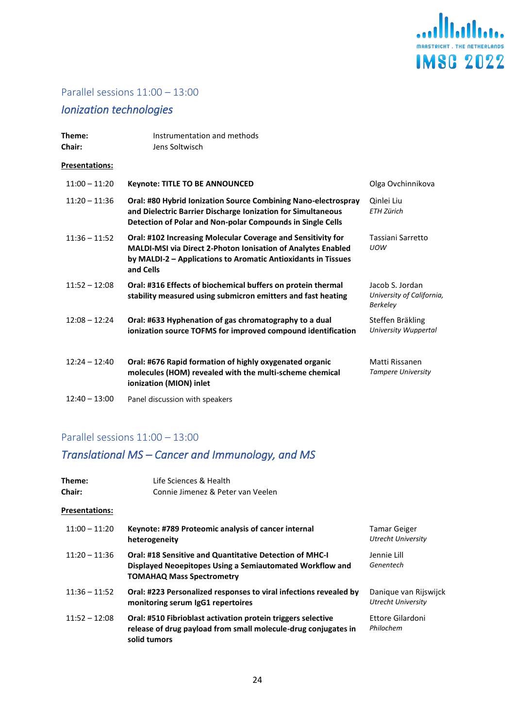

## Parallel sessions 11:00 – 13:00

## <span id="page-23-0"></span>*Ionization technologies*

| Theme:<br>Chair:      | Instrumentation and methods<br>Jens Soltwisch                                                                                                                                                              |                                                                 |
|-----------------------|------------------------------------------------------------------------------------------------------------------------------------------------------------------------------------------------------------|-----------------------------------------------------------------|
| <b>Presentations:</b> |                                                                                                                                                                                                            |                                                                 |
| $11:00 - 11:20$       | <b>Keynote: TITLE TO BE ANNOUNCED</b>                                                                                                                                                                      | Olga Ovchinnikova                                               |
| $11:20 - 11:36$       | Oral: #80 Hybrid Ionization Source Combining Nano-electrospray<br>and Dielectric Barrier Discharge Ionization for Simultaneous<br>Detection of Polar and Non-polar Compounds in Single Cells               | Qinlei Liu<br><b>ETH Zürich</b>                                 |
| $11:36 - 11:52$       | Oral: #102 Increasing Molecular Coverage and Sensitivity for<br>MALDI-MSI via Direct 2-Photon Ionisation of Analytes Enabled<br>by MALDI-2 - Applications to Aromatic Antioxidants in Tissues<br>and Cells | Tassiani Sarretto<br><b>UOW</b>                                 |
| $11:52 - 12:08$       | Oral: #316 Effects of biochemical buffers on protein thermal<br>stability measured using submicron emitters and fast heating                                                                               | Jacob S. Jordan<br>University of California,<br><b>Berkeley</b> |
| $12:08 - 12:24$       | Oral: #633 Hyphenation of gas chromatography to a dual<br>ionization source TOFMS for improved compound identification                                                                                     | Steffen Bräkling<br>University Wuppertal                        |
| $12:24 - 12:40$       | Oral: #676 Rapid formation of highly oxygenated organic<br>molecules (HOM) revealed with the multi-scheme chemical<br>ionization (MION) inlet                                                              | Matti Rissanen<br><b>Tampere University</b>                     |
| $12:40 - 13:00$       | Panel discussion with speakers                                                                                                                                                                             |                                                                 |

## Parallel sessions 11:00 – 13:00

## <span id="page-23-1"></span>*Translational MS – Cancer and Immunology, and MS*

| Theme:<br>Chair:      | Life Sciences & Health<br>Connie Jimenez & Peter van Veelen                                                                                                    |                                                    |
|-----------------------|----------------------------------------------------------------------------------------------------------------------------------------------------------------|----------------------------------------------------|
| <b>Presentations:</b> |                                                                                                                                                                |                                                    |
| $11:00 - 11:20$       | Keynote: #789 Proteomic analysis of cancer internal<br>heterogeneity                                                                                           | Tamar Geiger<br>Utrecht University                 |
| $11:20 - 11:36$       | <b>Oral: #18 Sensitive and Quantitative Detection of MHC-I</b><br>Displayed Neoepitopes Using a Semiautomated Workflow and<br><b>TOMAHAQ Mass Spectrometry</b> | Jennie Lill<br>Genentech                           |
| $11:36 - 11:52$       | Oral: #223 Personalized responses to viral infections revealed by<br>monitoring serum IgG1 repertoires                                                         | Danique van Rijswijck<br><b>Utrecht University</b> |
| $11:52 - 12:08$       | Oral: #510 Fibrioblast activation protein triggers selective<br>release of drug payload from small molecule-drug conjugates in<br>solid tumors                 | Ettore Gilardoni<br>Philochem                      |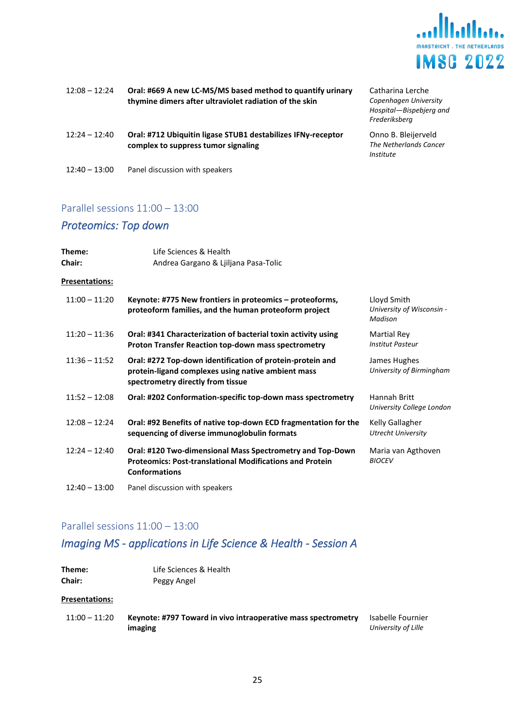

| $12:08 - 12:24$ | Oral: #669 A new LC-MS/MS based method to quantify urinary<br>thymine dimers after ultraviolet radiation of the skin | Catharina Lerche<br>Copenhagen University<br>Hospital-Bispebjerg and<br>Frederiksberg |
|-----------------|----------------------------------------------------------------------------------------------------------------------|---------------------------------------------------------------------------------------|
| $12:24 - 12:40$ | Oral: #712 Ubiquitin ligase STUB1 destabilizes IFNy-receptor<br>complex to suppress tumor signaling                  | Onno B. Bleijerveld<br>The Netherlands Cancer<br>Institute                            |
| $12:40 - 13:00$ | Panel discussion with speakers                                                                                       |                                                                                       |

## Parallel sessions 11:00 – 13:00

## <span id="page-24-0"></span>*Proteomics: Top down*

| Theme:<br>Chair:      | Life Sciences & Health<br>Andrea Gargano & Ljiljana Pasa-Tolic                                                                                       |                                                     |
|-----------------------|------------------------------------------------------------------------------------------------------------------------------------------------------|-----------------------------------------------------|
| <b>Presentations:</b> |                                                                                                                                                      |                                                     |
| $11:00 - 11:20$       | Keynote: #775 New frontiers in proteomics - proteoforms,<br>proteoform families, and the human proteoform project                                    | Lloyd Smith<br>University of Wisconsin -<br>Madison |
| $11:20 - 11:36$       | Oral: #341 Characterization of bacterial toxin activity using<br><b>Proton Transfer Reaction top-down mass spectrometry</b>                          | Martial Rey<br><b>Institut Pasteur</b>              |
| $11:36 - 11:52$       | Oral: #272 Top-down identification of protein-protein and<br>protein-ligand complexes using native ambient mass<br>spectrometry directly from tissue | James Hughes<br>University of Birmingham            |
| $11:52 - 12:08$       | Oral: #202 Conformation-specific top-down mass spectrometry                                                                                          | Hannah Britt<br>University College London           |
| $12:08 - 12:24$       | Oral: #92 Benefits of native top-down ECD fragmentation for the<br>sequencing of diverse immunoglobulin formats                                      | Kelly Gallagher<br><b>Utrecht University</b>        |
| $12:24 - 12:40$       | Oral: #120 Two-dimensional Mass Spectrometry and Top-Down<br><b>Proteomics: Post-translational Modifications and Protein</b><br><b>Conformations</b> | Maria van Agthoven<br><b>BIOCEV</b>                 |
| $12:40 - 13:00$       | Panel discussion with speakers                                                                                                                       |                                                     |

### Parallel sessions 11:00 – 13:00

## <span id="page-24-1"></span>*Imaging MS - applications in Life Science & Health - Session A*

| Theme:        | Life Sciences & Health |
|---------------|------------------------|
| <b>Chair:</b> | Peggy Angel            |

#### **Presentations:**

| $11:00 - 11:20$ | Keynote: #797 Toward in vivo intraoperative mass spectrometry<br>Isabelle Fournier |                     |
|-----------------|------------------------------------------------------------------------------------|---------------------|
|                 | imaging                                                                            | University of Lille |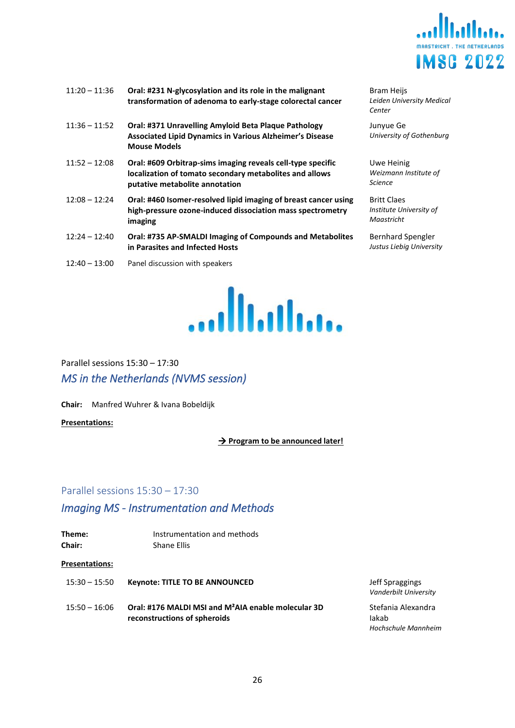

| $11:20 - 11:36$ | Oral: #231 N-glycosylation and its role in the malignant<br>transformation of adenoma to early-stage colorectal cancer                                   |
|-----------------|----------------------------------------------------------------------------------------------------------------------------------------------------------|
| $11:36 - 11:52$ | Oral: #371 Unravelling Amyloid Beta Plaque Pathology<br><b>Associated Lipid Dynamics in Various Alzheimer's Disease</b><br><b>Mouse Models</b>           |
| $11:52 - 12:08$ | Oral: #609 Orbitrap-sims imaging reveals cell-type specific<br>localization of tomato secondary metabolites and allows<br>putative metabolite annotation |
| $12:08 - 12:24$ | Oral: #460 Isomer-resolved lipid imaging of breast cancer using<br>high-pressure ozone-induced dissociation mass spectrometry<br>imaging                 |
| $12:24 - 12:40$ | Oral: #735 AP-SMALDI Imaging of Compounds and Metabolites<br>in Parasites and Infected Hosts                                                             |
| $12:40 - 13:00$ | Panel discussion with speakers                                                                                                                           |



Bram Heijs *Leiden University Medical Center*

Junyue Ge *University of Gothenburg*

Uwe Heinig *Weizmann Institute of Science*

Britt Claes *Institute University of Maastricht*

Bernhard Spengler *Justus Liebig University*

<span id="page-25-1"></span><span id="page-25-0"></span>Parallel sessions 15:30 – 17:30 *MS in the Netherlands (NVMS session)*

**Chair:** Manfred Wuhrer & Ivana Bobeldijk

**Presentations:**

→ **Program to be announced later!**

#### Parallel sessions 15:30 – 17:30

## <span id="page-25-2"></span>*Imaging MS - Instrumentation and Methods*

| Theme:<br><b>Chair:</b> | Instrumentation and methods<br>Shane Ellis                                                      |
|-------------------------|-------------------------------------------------------------------------------------------------|
| <b>Presentations:</b>   |                                                                                                 |
| $15:30 - 15:50$         | <b>Keynote: TITLE TO BE ANNOUNCED</b>                                                           |
| $15:50 - 16:06$         | Oral: #176 MALDI MSI and M <sup>2</sup> AIA enable molecular 3D<br>reconstructions of spheroids |

**Jeff Spraggings** *Vanderbilt University*

Stefania Alexandra Iakab *Hochschule Mannheim*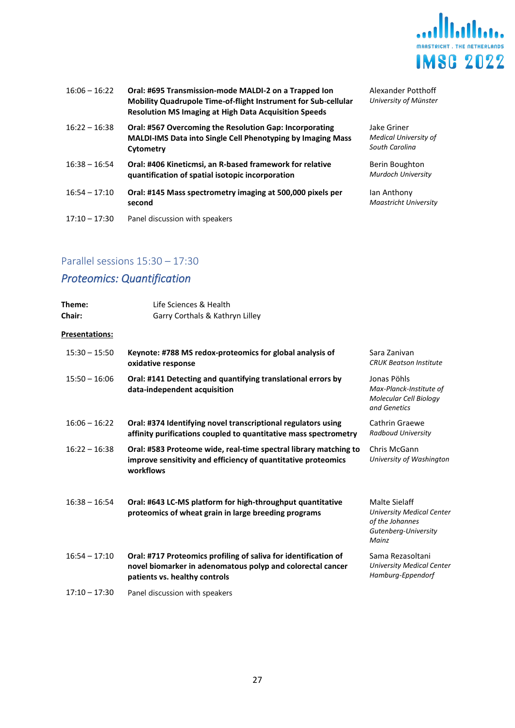

| $16:06 - 16:22$ | Oral: #695 Transmission-mode MALDI-2 on a Trapped Ion<br>Mobility Quadrupole Time-of-flight Instrument for Sub-cellular<br><b>Resolution MS Imaging at High Data Acquisition Speeds</b> | Alexander I<br>University of                |
|-----------------|-----------------------------------------------------------------------------------------------------------------------------------------------------------------------------------------|---------------------------------------------|
| $16:22 - 16:38$ | Oral: #567 Overcoming the Resolution Gap: Incorporating<br>MALDI-IMS Data into Single Cell Phenotyping by Imaging Mass<br>Cytometry                                                     | Jake Griner<br>Medical Univ<br>South Caroli |
| $16:38 - 16:54$ | Oral: #406 Kineticmsi, an R-based framework for relative<br>quantification of spatial isotopic incorporation                                                                            | Berin Boug<br>Murdoch Un                    |
| $16:54 - 17:10$ | Oral: #145 Mass spectrometry imaging at 500,000 pixels per<br>second                                                                                                                    | Ian Anthon<br>Maastricht l                  |
| $17:10 - 17:30$ | Panel discussion with speakers                                                                                                                                                          |                                             |

#### der Potthoff *University of Münster*

*Medical University of South Carolina*

ghton *Murdoch University*

ıy .<br>University

## Parallel sessions 15:30 – 17:30

## <span id="page-26-0"></span>*Proteomics: Quantification*

| Theme:<br><b>Chair:</b> | Life Sciences & Health<br>Garry Corthals & Kathryn Lilley                                                                                                      |                                                                                                       |
|-------------------------|----------------------------------------------------------------------------------------------------------------------------------------------------------------|-------------------------------------------------------------------------------------------------------|
| <b>Presentations:</b>   |                                                                                                                                                                |                                                                                                       |
| $15:30 - 15:50$         | Keynote: #788 MS redox-proteomics for global analysis of<br>oxidative response                                                                                 | Sara Zanivan<br><b>CRUK Beatson Institute</b>                                                         |
| $15:50 - 16:06$         | Oral: #141 Detecting and quantifying translational errors by<br>data-independent acquisition                                                                   | Jonas Pöhls<br>Max-Planck-Institute of<br>Molecular Cell Biology<br>and Genetics                      |
| $16:06 - 16:22$         | Oral: #374 Identifying novel transcriptional regulators using<br>affinity purifications coupled to quantitative mass spectrometry                              | Cathrin Graewe<br>Radboud University                                                                  |
| $16:22 - 16:38$         | Oral: #583 Proteome wide, real-time spectral library matching to<br>improve sensitivity and efficiency of quantitative proteomics<br>workflows                 | Chris McGann<br>University of Washington                                                              |
| $16:38 - 16:54$         | Oral: #643 LC-MS platform for high-throughput quantitative<br>proteomics of wheat grain in large breeding programs                                             | Malte Sielaff<br><b>University Medical Center</b><br>of the Johannes<br>Gutenberg-University<br>Mainz |
| $16:54 - 17:10$         | Oral: #717 Proteomics profiling of saliva for identification of<br>novel biomarker in adenomatous polyp and colorectal cancer<br>patients vs. healthy controls | Sama Rezasoltani<br><b>University Medical Center</b><br>Hamburg-Eppendorf                             |
| $17:10 - 17:30$         | Panel discussion with speakers                                                                                                                                 |                                                                                                       |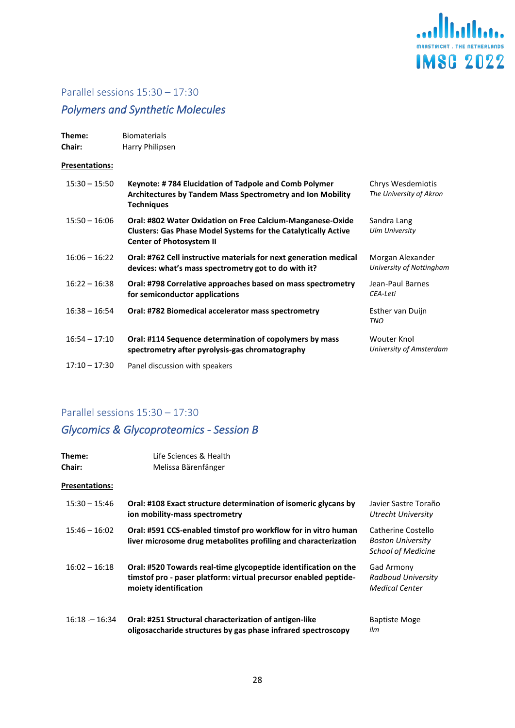

## <span id="page-27-0"></span>*Polymers and Synthetic Molecules*

| Theme:<br><b>Chair:</b> | <b>Biomaterials</b><br>Harry Philipsen                                                                                                                                 |                                              |
|-------------------------|------------------------------------------------------------------------------------------------------------------------------------------------------------------------|----------------------------------------------|
| <b>Presentations:</b>   |                                                                                                                                                                        |                                              |
| $15:30 - 15:50$         | Keynote: #784 Elucidation of Tadpole and Comb Polymer<br>Architectures by Tandem Mass Spectrometry and Ion Mobility<br><b>Techniques</b>                               | Chrys Wesdemiotis<br>The University of Akron |
| $15:50 - 16:06$         | Oral: #802 Water Oxidation on Free Calcium-Manganese-Oxide<br><b>Clusters: Gas Phase Model Systems for the Catalytically Active</b><br><b>Center of Photosystem II</b> | Sandra Lang<br><b>Ulm University</b>         |
| $16:06 - 16:22$         | Oral: #762 Cell instructive materials for next generation medical<br>devices: what's mass spectrometry got to do with it?                                              | Morgan Alexander<br>University of Nottingham |
| $16:22 - 16:38$         | Oral: #798 Correlative approaches based on mass spectrometry<br>for semiconductor applications                                                                         | Jean-Paul Barnes<br>CEA-Leti                 |
| $16:38 - 16:54$         | Oral: #782 Biomedical accelerator mass spectrometry                                                                                                                    | Esther van Duijn<br><b>TNO</b>               |
| $16:54 - 17:10$         | Oral: #114 Sequence determination of copolymers by mass<br>spectrometry after pyrolysis-gas chromatography                                                             | Wouter Knol<br>University of Amsterdam       |
| $17:10 - 17:30$         | Panel discussion with speakers                                                                                                                                         |                                              |

## Parallel sessions 15:30 – 17:30

## <span id="page-27-1"></span>*Glycomics & Glycoproteomics - Session B*

| Theme:<br><b>Chair:</b> | Life Sciences & Health<br>Melissa Bärenfänger                                                                                                                |                                                                             |
|-------------------------|--------------------------------------------------------------------------------------------------------------------------------------------------------------|-----------------------------------------------------------------------------|
| Presentations:          |                                                                                                                                                              |                                                                             |
| $15:30 - 15:46$         | Oral: #108 Exact structure determination of isomeric glycans by<br>ion mobility-mass spectrometry                                                            | Javier Sastre Toraño<br>Utrecht University                                  |
| $15:46 - 16:02$         | Oral: #591 CCS-enabled timstof pro workflow for in vitro human<br>liver microsome drug metabolites profiling and characterization                            | Catherine Costello<br><b>Boston University</b><br><b>School of Medicine</b> |
| $16:02 - 16:18$         | Oral: #520 Towards real-time glycopeptide identification on the<br>timstof pro - paser platform: virtual precursor enabled peptide-<br>moiety identification | Gad Armony<br>Radboud University<br><b>Medical Center</b>                   |
| $16:18 - 16:34$         | Oral: #251 Structural characterization of antigen-like<br>oligosaccharide structures by gas phase infrared spectroscopy                                      | <b>Baptiste Moge</b><br>ilm                                                 |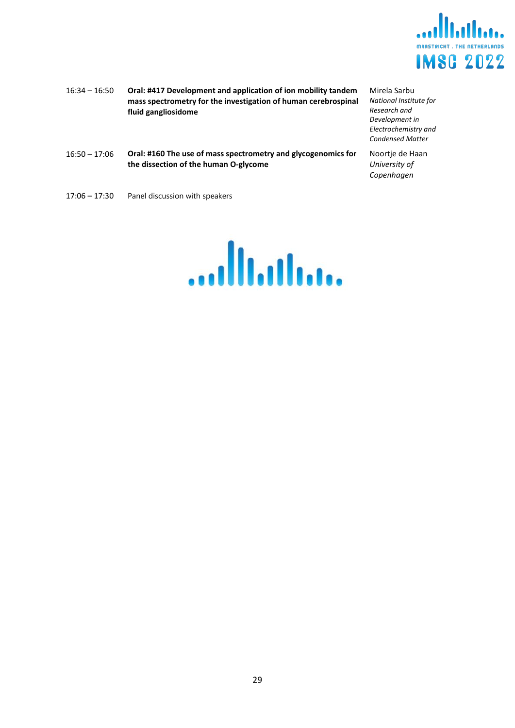

- 16:34 16:50 **Oral: #417 Development and application of ion mobility tandem mass spectrometry for the investigation of human cerebrospinal fluid gangliosidome**
- Mirela Sarbu *National Institute for Research and Development in Electrochemistry and Condensed Matter*

Noortje de Haan *University of Copenhagen*

- 16:50 17:06 **Oral: #160 The use of mass spectrometry and glycogenomics for the dissection of the human O-glycome**
- 17:06 17:30 Panel discussion with speakers

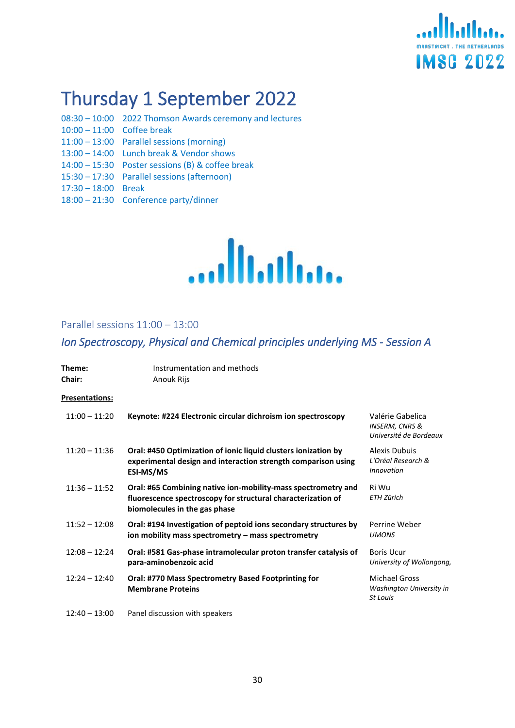

# <span id="page-29-0"></span>Thursday 1 September 2022

- 08:30 10:00 2022 Thomson Awards ceremony and lectures 10:00 – 11:00 Coffee break
- 11:00 13:00 Parallel sessions (morning)
- 13:00 14:00 Lunch break & Vendor shows
- 14:00 15:30 Poster sessions (B) & coffee break
- 15:30 17:30 Parallel sessions (afternoon)
- 17:30 18:00 Break
- 18:00 21:30 Conference party/dinner



#### <span id="page-29-1"></span>Parallel sessions 11:00 – 13:00

## <span id="page-29-2"></span>*Ion Spectroscopy, Physical and Chemical principles underlying MS - Session A*

| Theme:<br><b>Chair:</b> | Instrumentation and methods<br>Anouk Rijs                                                                                                                      |                                                                         |
|-------------------------|----------------------------------------------------------------------------------------------------------------------------------------------------------------|-------------------------------------------------------------------------|
| Presentations:          |                                                                                                                                                                |                                                                         |
| $11:00 - 11:20$         | Keynote: #224 Electronic circular dichroism ion spectroscopy                                                                                                   | Valérie Gabelica<br><b>INSERM, CNRS &amp;</b><br>Université de Bordeaux |
| $11:20 - 11:36$         | Oral: #450 Optimization of ionic liquid clusters ionization by<br>experimental design and interaction strength comparison using<br>ESI-MS/MS                   | Alexis Dubuis<br>L'Oréal Research &<br><b>Innovation</b>                |
| $11:36 - 11:52$         | Oral: #65 Combining native ion-mobility-mass spectrometry and<br>fluorescence spectroscopy for structural characterization of<br>biomolecules in the gas phase | Ri Wu<br>ETH Zürich                                                     |
| $11:52 - 12:08$         | Oral: #194 Investigation of peptoid ions secondary structures by<br>ion mobility mass spectrometry - mass spectrometry                                         | Perrine Weber<br><b>UMONS</b>                                           |
| $12:08 - 12:24$         | Oral: #581 Gas-phase intramolecular proton transfer catalysis of<br>para-aminobenzoic acid                                                                     | <b>Boris Ucur</b><br>University of Wollongong,                          |
| $12:24 - 12:40$         | Oral: #770 Mass Spectrometry Based Footprinting for<br><b>Membrane Proteins</b>                                                                                | <b>Michael Gross</b><br>Washington University in<br>St Louis            |
| $12:40 - 13:00$         | Panel discussion with speakers                                                                                                                                 |                                                                         |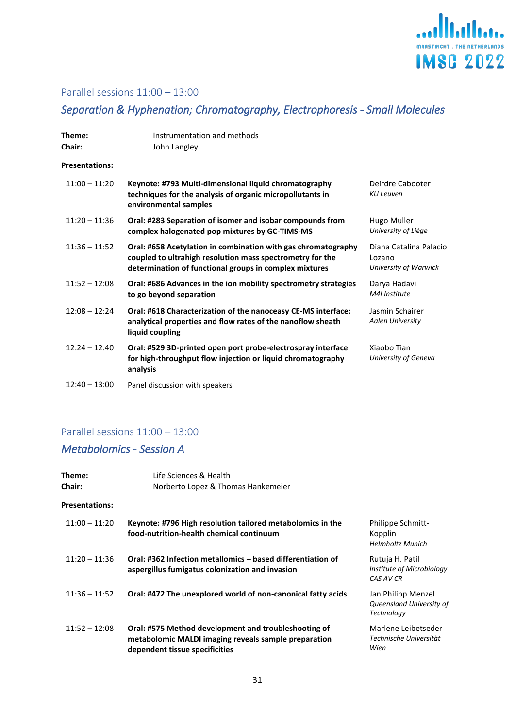

## Parallel sessions 11:00 – 13:00

## <span id="page-30-0"></span>*Separation & Hyphenation; Chromatography, Electrophoresis - Small Molecules*

| Theme:<br><b>Chair:</b> | Instrumentation and methods<br>John Langley                                                                                                                                          |                                                           |
|-------------------------|--------------------------------------------------------------------------------------------------------------------------------------------------------------------------------------|-----------------------------------------------------------|
| Presentations:          |                                                                                                                                                                                      |                                                           |
| $11:00 - 11:20$         | Keynote: #793 Multi-dimensional liquid chromatography<br>techniques for the analysis of organic micropollutants in<br>environmental samples                                          | Deirdre Cabooter<br><b>KU Leuven</b>                      |
| $11:20 - 11:36$         | Oral: #283 Separation of isomer and isobar compounds from<br>complex halogenated pop mixtures by GC-TIMS-MS                                                                          | Hugo Muller<br>University of Liège                        |
| $11:36 - 11:52$         | Oral: #658 Acetylation in combination with gas chromatography<br>coupled to ultrahigh resolution mass spectrometry for the<br>determination of functional groups in complex mixtures | Diana Catalina Palacio<br>Lozano<br>University of Warwick |
| $11:52 - 12:08$         | Oral: #686 Advances in the ion mobility spectrometry strategies<br>to go beyond separation                                                                                           | Darya Hadavi<br>M4I Institute                             |
| $12:08 - 12:24$         | Oral: #618 Characterization of the nanoceasy CE-MS interface:<br>analytical properties and flow rates of the nanoflow sheath<br>liquid coupling                                      | Jasmin Schairer<br><b>Aalen University</b>                |
| $12:24 - 12:40$         | Oral: #529 3D-printed open port probe-electrospray interface<br>for high-throughput flow injection or liquid chromatography<br>analysis                                              | Xiaobo Tian<br>University of Geneva                       |
|                         |                                                                                                                                                                                      |                                                           |

## 12:40 – 13:00 Panel discussion with speakers

## Parallel sessions 11:00 – 13:00

## <span id="page-30-1"></span>*Metabolomics - Session A*

| Theme:<br><b>Chair:</b> | Life Sciences & Health<br>Norberto Lopez & Thomas Hankemeier                                                                                   |                                                                |
|-------------------------|------------------------------------------------------------------------------------------------------------------------------------------------|----------------------------------------------------------------|
| Presentations:          |                                                                                                                                                |                                                                |
| $11:00 - 11:20$         | Keynote: #796 High resolution tailored metabolomics in the<br>food-nutrition-health chemical continuum                                         | <b>Philippe Schmitt-</b><br>Kopplin<br><b>Helmholtz Munich</b> |
| $11:20 - 11:36$         | Oral: #362 Infection metallomics – based differentiation of<br>aspergillus fumigatus colonization and invasion                                 | Rutuja H. Patil<br>Institute of Microbiology<br>CAS AV CR      |
| $11:36 - 11:52$         | Oral: #472 The unexplored world of non-canonical fatty acids                                                                                   | Jan Philipp Menzel<br>Queensland University of<br>Technology   |
| $11:52 - 12:08$         | Oral: #575 Method development and troubleshooting of<br>metabolomic MALDI imaging reveals sample preparation<br>dependent tissue specificities | Marlene Leibetseder<br>Technische Universität<br>Wien          |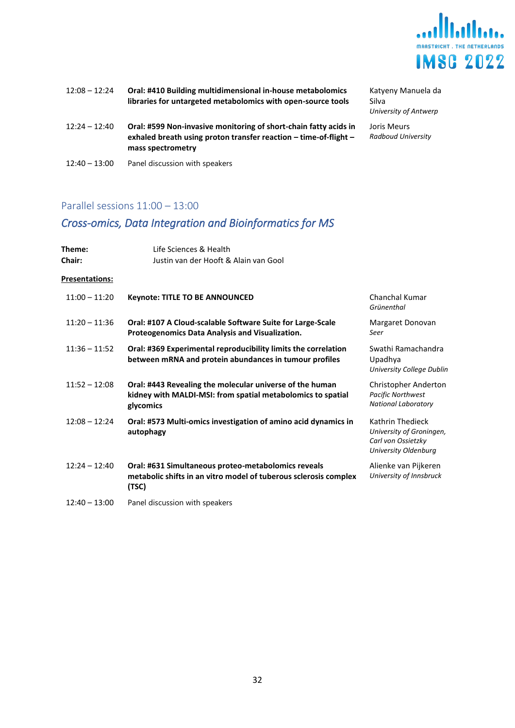

| $12:08 - 12:24$ | Oral: #410 Building multidimensional in-house metabolomics<br>libraries for untargeted metabolomics with open-source tools                                | Katy<br>Silva<br>Unive |
|-----------------|-----------------------------------------------------------------------------------------------------------------------------------------------------------|------------------------|
| $12:24 - 12:40$ | Oral: #599 Non-invasive monitoring of short-chain fatty acids in<br>exhaled breath using proton transfer reaction - time-of-flight -<br>mass spectrometry | Joris<br>Radb          |
| $12:40 - 13:00$ | Panel discussion with speakers                                                                                                                            |                        |

eny Manuela da Silva *University of Antwerp* Meurs *Radboud University*

## Parallel sessions 11:00 – 13:00

## <span id="page-31-0"></span>*Cross-omics, Data Integration and Bioinformatics for MS*

| Theme:<br><b>Chair:</b> | Life Sciences & Health<br>Justin van der Hooft & Alain van Gool                                                                      |                                                                                            |
|-------------------------|--------------------------------------------------------------------------------------------------------------------------------------|--------------------------------------------------------------------------------------------|
| <b>Presentations:</b>   |                                                                                                                                      |                                                                                            |
| $11:00 - 11:20$         | <b>Keynote: TITLE TO BE ANNOUNCED</b>                                                                                                | Chanchal Kumar<br>Grünenthal                                                               |
| $11:20 - 11:36$         | Oral: #107 A Cloud-scalable Software Suite for Large-Scale<br>Proteogenomics Data Analysis and Visualization.                        | Margaret Donovan<br>Seer                                                                   |
| $11:36 - 11:52$         | Oral: #369 Experimental reproducibility limits the correlation<br>between mRNA and protein abundances in tumour profiles             | Swathi Ramachandra<br>Upadhya<br>University College Dublin                                 |
| $11:52 - 12:08$         | Oral: #443 Revealing the molecular universe of the human<br>kidney with MALDI-MSI: from spatial metabolomics to spatial<br>glycomics | Christopher Anderton<br><b>Pacific Northwest</b><br><b>National Laboratory</b>             |
| $12:08 - 12:24$         | Oral: #573 Multi-omics investigation of amino acid dynamics in<br>autophagy                                                          | Kathrin Thedieck<br>University of Groningen,<br>Carl von Ossietzky<br>University Oldenburg |
| $12:24 - 12:40$         | Oral: #631 Simultaneous proteo-metabolomics reveals<br>metabolic shifts in an vitro model of tuberous sclerosis complex<br>(TSC)     | Alienke van Pijkeren<br>University of Innsbruck                                            |
| $12:40 - 13:00$         | Panel discussion with speakers                                                                                                       |                                                                                            |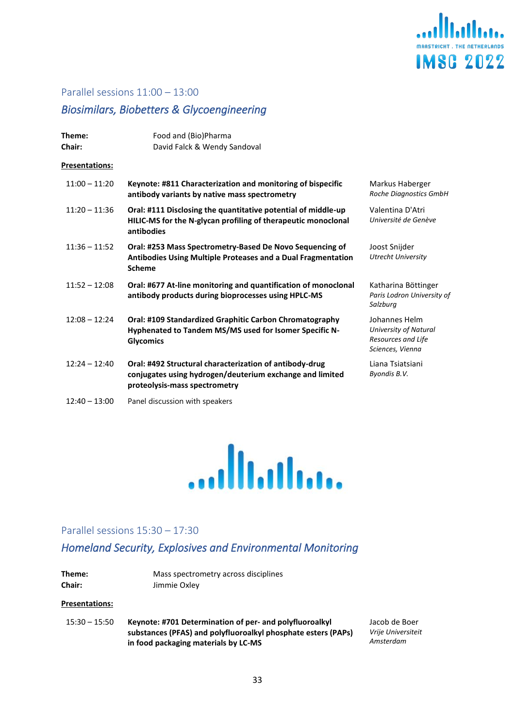

#### Parallel sessions 11:00 – 13:00

## <span id="page-32-0"></span>*Biosimilars, Biobetters & Glycoengineering*

| Theme:<br><b>Chair:</b> | Food and (Bio)Pharma<br>David Falck & Wendy Sandoval                                                                                                 |                                                                                  |
|-------------------------|------------------------------------------------------------------------------------------------------------------------------------------------------|----------------------------------------------------------------------------------|
| Presentations:          |                                                                                                                                                      |                                                                                  |
| $11:00 - 11:20$         | Keynote: #811 Characterization and monitoring of bispecific<br>antibody variants by native mass spectrometry                                         | Markus Haberger<br>Roche Diagnostics GmbH                                        |
| $11:20 - 11:36$         | Oral: #111 Disclosing the quantitative potential of middle-up<br>HILIC-MS for the N-glycan profiling of therapeutic monoclonal<br>antibodies         | Valentina D'Atri<br>Université de Genève                                         |
| $11:36 - 11:52$         | Oral: #253 Mass Spectrometry-Based De Novo Sequencing of<br>Antibodies Using Multiple Proteases and a Dual Fragmentation<br><b>Scheme</b>            | Joost Snijder<br><b>Utrecht University</b>                                       |
| $11:52 - 12:08$         | Oral: #677 At-line monitoring and quantification of monoclonal<br>antibody products during bioprocesses using HPLC-MS                                | Katharina Böttinger<br>Paris Lodron University of<br>Salzburg                    |
| $12:08 - 12:24$         | Oral: #109 Standardized Graphitic Carbon Chromatography<br>Hyphenated to Tandem MS/MS used for Isomer Specific N-<br><b>Glycomics</b>                | Johannes Helm<br>University of Natural<br>Resources and Life<br>Sciences, Vienna |
| $12:24 - 12:40$         | Oral: #492 Structural characterization of antibody-drug<br>conjugates using hydrogen/deuterium exchange and limited<br>proteolysis-mass spectrometry | Liana Tsiatsiani<br>Byondis B.V.                                                 |
| $12:40 - 13:00$         | Panel discussion with speakers                                                                                                                       |                                                                                  |



#### <span id="page-32-1"></span>Parallel sessions 15:30 – 17:30

## <span id="page-32-2"></span>*Homeland Security, Explosives and Environmental Monitoring*

| Theme:        | Mass spectrometry across disciplines |
|---------------|--------------------------------------|
| <b>Chair:</b> | Jimmie Oxley                         |

#### **Presentations:**

15:30 – 15:50 **Keynote: #701 Determination of per- and polyfluoroalkyl substances (PFAS) and polyfluoroalkyl phosphate esters (PAPs) in food packaging materials by LC-MS**

Jacob de Boer *Vrije Universiteit Amsterdam*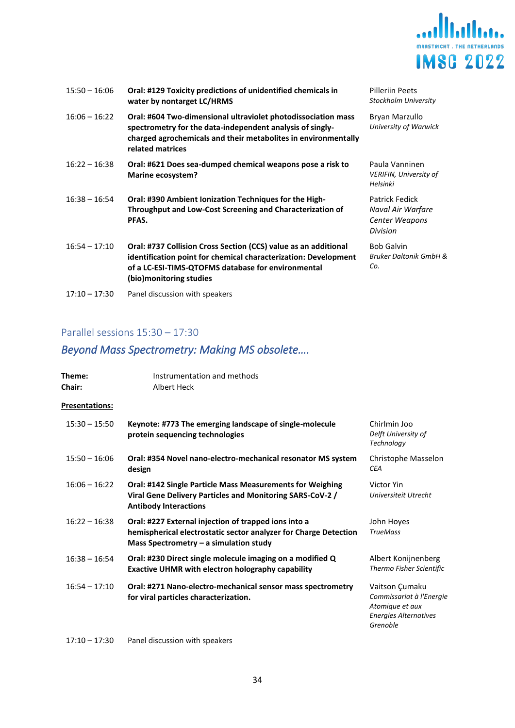

| $15:50 - 16:06$ | Oral: #129 Toxicity predictions of unidentified chemicals in<br>water by nontarget LC/HRMS                                                                                                                          | Pilleriin Peets<br>Stockholm University                           |
|-----------------|---------------------------------------------------------------------------------------------------------------------------------------------------------------------------------------------------------------------|-------------------------------------------------------------------|
| $16:06 - 16:22$ | Oral: #604 Two-dimensional ultraviolet photodissociation mass<br>spectrometry for the data-independent analysis of singly-<br>charged agrochemicals and their metabolites in environmentally<br>related matrices    | Bryan Marzullo<br>University of Warwick                           |
| $16:22 - 16:38$ | Oral: #621 Does sea-dumped chemical weapons pose a risk to<br>Marine ecosystem?                                                                                                                                     | Paula Vanninen<br><b>VERIFIN, University of</b><br>Helsinki       |
| $16:38 - 16:54$ | Oral: #390 Ambient Ionization Techniques for the High-<br>Throughput and Low-Cost Screening and Characterization of<br>PFAS.                                                                                        | Patrick Fedick<br>Naval Air Warfare<br>Center Weapons<br>Division |
| $16:54 - 17:10$ | Oral: #737 Collision Cross Section (CCS) value as an additional<br>identification point for chemical characterization: Development<br>of a LC-ESI-TIMS-QTOFMS database for environmental<br>(bio)monitoring studies | <b>Bob Galvin</b><br><b>Bruker Daltonik GmbH &amp;</b><br>Co.     |
| $17:10 - 17:30$ | Panel discussion with speakers                                                                                                                                                                                      |                                                                   |

## <span id="page-33-0"></span>*Beyond Mass Spectrometry: Making MS obsolete….*

| Theme:<br><b>Chair:</b> | Instrumentation and methods<br>Albert Heck                                                                                                                           |                                                                                                           |
|-------------------------|----------------------------------------------------------------------------------------------------------------------------------------------------------------------|-----------------------------------------------------------------------------------------------------------|
| <b>Presentations:</b>   |                                                                                                                                                                      |                                                                                                           |
| $15:30 - 15:50$         | Keynote: #773 The emerging landscape of single-molecule<br>protein sequencing technologies                                                                           | Chirlmin Joo<br>Delft University of<br>Technology                                                         |
| $15:50 - 16:06$         | Oral: #354 Novel nano-electro-mechanical resonator MS system<br>design                                                                                               | Christophe Masselon<br><b>CEA</b>                                                                         |
| $16:06 - 16:22$         | Oral: #142 Single Particle Mass Measurements for Weighing<br>Viral Gene Delivery Particles and Monitoring SARS-CoV-2 /<br><b>Antibody Interactions</b>               | Victor Yin<br>Universiteit Utrecht                                                                        |
| $16:22 - 16:38$         | Oral: #227 External injection of trapped ions into a<br>hemispherical electrostatic sector analyzer for Charge Detection<br>Mass Spectrometry $-$ a simulation study | John Hoves<br><b>TrueMass</b>                                                                             |
| $16:38 - 16:54$         | Oral: #230 Direct single molecule imaging on a modified Q<br><b>Exactive UHMR with electron holography capability</b>                                                | Albert Konijnenberg<br>Thermo Fisher Scientific                                                           |
| $16:54 - 17:10$         | Oral: #271 Nano-electro-mechanical sensor mass spectrometry<br>for viral particles characterization.                                                                 | Vaitson Çumaku<br>Commissariat à l'Energie<br>Atomique et aux<br><b>Energies Alternatives</b><br>Grenoble |
| $17:10 - 17:30$         | Panel discussion with speakers                                                                                                                                       |                                                                                                           |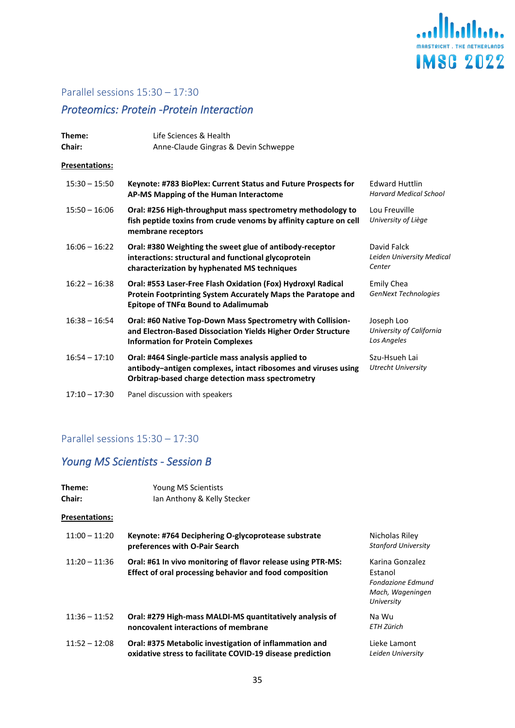

## <span id="page-34-0"></span>*Proteomics: Protein -Protein Interaction*

| Theme:<br>Chair:      | Life Sciences & Health<br>Anne-Claude Gingras & Devin Schweppe                                                                                                             |                                                        |
|-----------------------|----------------------------------------------------------------------------------------------------------------------------------------------------------------------------|--------------------------------------------------------|
| <b>Presentations:</b> |                                                                                                                                                                            |                                                        |
| $15:30 - 15:50$       | Keynote: #783 BioPlex: Current Status and Future Prospects for<br>AP-MS Mapping of the Human Interactome                                                                   | <b>Edward Huttlin</b><br><b>Harvard Medical School</b> |
| $15:50 - 16:06$       | Oral: #256 High-throughput mass spectrometry methodology to<br>fish peptide toxins from crude venoms by affinity capture on cell<br>membrane receptors                     | Lou Freuville<br>University of Liège                   |
| $16:06 - 16:22$       | Oral: #380 Weighting the sweet glue of antibody-receptor<br>interactions: structural and functional glycoprotein<br>characterization by hyphenated MS techniques           | David Falck<br>Leiden University Medical<br>Center     |
| $16:22 - 16:38$       | Oral: #553 Laser-Free Flash Oxidation (Fox) Hydroxyl Radical<br>Protein Footprinting System Accurately Maps the Paratope and<br>Epitope of $TNF\alpha$ Bound to Adalimumab | <b>Emily Chea</b><br>GenNext Technologies              |
| $16:38 - 16:54$       | Oral: #60 Native Top-Down Mass Spectrometry with Collision-<br>and Electron-Based Dissociation Yields Higher Order Structure<br><b>Information for Protein Complexes</b>   | Joseph Loo<br>University of California<br>Los Angeles  |
| $16:54 - 17:10$       | Oral: #464 Single-particle mass analysis applied to<br>antibody-antigen complexes, intact ribosomes and viruses using<br>Orbitrap-based charge detection mass spectrometry | Szu-Hsueh Lai<br><b>Utrecht University</b>             |
| $17:10 - 17:30$       | Panel discussion with speakers                                                                                                                                             |                                                        |

## Parallel sessions 15:30 – 17:30

## <span id="page-34-1"></span>*Young MS Scientists - Session B*

| Theme:<br><b>Chair:</b> | Young MS Scientists<br>Ian Anthony & Kelly Stecker                                                                      |                                                                                          |
|-------------------------|-------------------------------------------------------------------------------------------------------------------------|------------------------------------------------------------------------------------------|
| Presentations:          |                                                                                                                         |                                                                                          |
| $11:00 - 11:20$         | Keynote: #764 Deciphering O-glycoprotease substrate<br>preferences with O-Pair Search                                   | Nicholas Riley<br><b>Stanford University</b>                                             |
| $11:20 - 11:36$         | Oral: #61 In vivo monitoring of flavor release using PTR-MS:<br>Effect of oral processing behavior and food composition | Karina Gonzalez<br>Estanol<br><b>Fondazione Edmund</b><br>Mach, Wageningen<br>University |
| $11:36 - 11:52$         | Oral: #279 High-mass MALDI-MS quantitatively analysis of<br>noncovalent interactions of membrane                        | Na Wu<br>ETH Zürich                                                                      |
| $11:52 - 12:08$         | Oral: #375 Metabolic investigation of inflammation and<br>oxidative stress to facilitate COVID-19 disease prediction    | Lieke Lamont<br>Leiden University                                                        |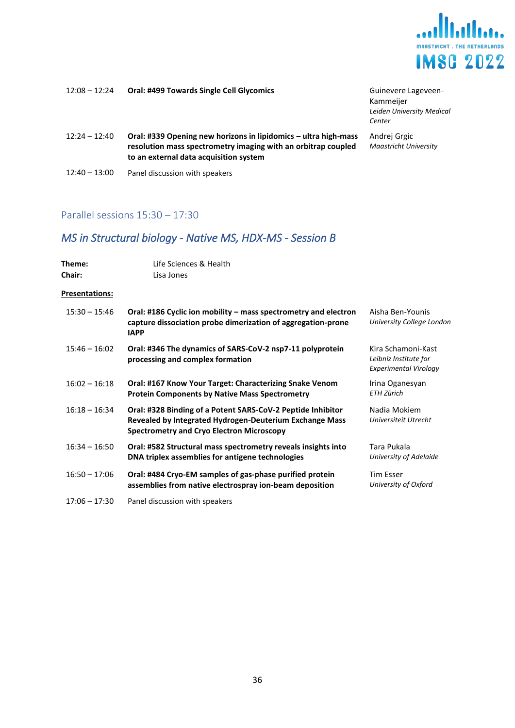

| $12:08 - 12:24$ | <b>Oral: #499 Towards Single Cell Glycomics</b>                                                                                                                            | Guinevere Lageveen-<br>Kammeijer<br>Leiden University Medical<br>Center |
|-----------------|----------------------------------------------------------------------------------------------------------------------------------------------------------------------------|-------------------------------------------------------------------------|
| $12:24 - 12:40$ | Oral: #339 Opening new horizons in lipidomics - ultra high-mass<br>resolution mass spectrometry imaging with an orbitrap coupled<br>to an external data acquisition system | Andrej Grgic<br><b>Maastricht University</b>                            |
| $12:40 - 13:00$ | Panel discussion with speakers                                                                                                                                             |                                                                         |

## <span id="page-35-0"></span>*MS in Structural biology - Native MS, HDX-MS - Session B*

| Theme:        | Life Sciences & Health |
|---------------|------------------------|
| <b>Chair:</b> | Lisa Jones             |

#### **Presentations:**

| $15:30 - 15:46$ | Oral: #186 Cyclic ion mobility – mass spectrometry and electron<br>capture dissociation probe dimerization of aggregation-prone<br><b>IAPP</b>                      | Aisha Ben-Younis<br>University College London                               |
|-----------------|---------------------------------------------------------------------------------------------------------------------------------------------------------------------|-----------------------------------------------------------------------------|
| $15:46 - 16:02$ | Oral: #346 The dynamics of SARS-CoV-2 nsp7-11 polyprotein<br>processing and complex formation                                                                       | Kira Schamoni-Kast<br>Leibniz Institute for<br><b>Experimental Virology</b> |
| $16:02 - 16:18$ | Oral: #167 Know Your Target: Characterizing Snake Venom<br><b>Protein Components by Native Mass Spectrometry</b>                                                    | Irina Oganesyan<br>ETH Zürich                                               |
| $16:18 - 16:34$ | Oral: #328 Binding of a Potent SARS-CoV-2 Peptide Inhibitor<br>Revealed by Integrated Hydrogen-Deuterium Exchange Mass<br>Spectrometry and Cryo Electron Microscopy | Nadia Mokiem<br>Universiteit Utrecht                                        |
| $16:34 - 16:50$ | Oral: #582 Structural mass spectrometry reveals insights into<br>DNA triplex assemblies for antigene technologies                                                   | Tara Pukala<br>University of Adelaide                                       |
| $16:50 - 17:06$ | Oral: #484 Cryo-EM samples of gas-phase purified protein<br>assemblies from native electrospray ion-beam deposition                                                 | <b>Tim Esser</b><br>University of Oxford                                    |
| $17:06 - 17:30$ | Panel discussion with speakers                                                                                                                                      |                                                                             |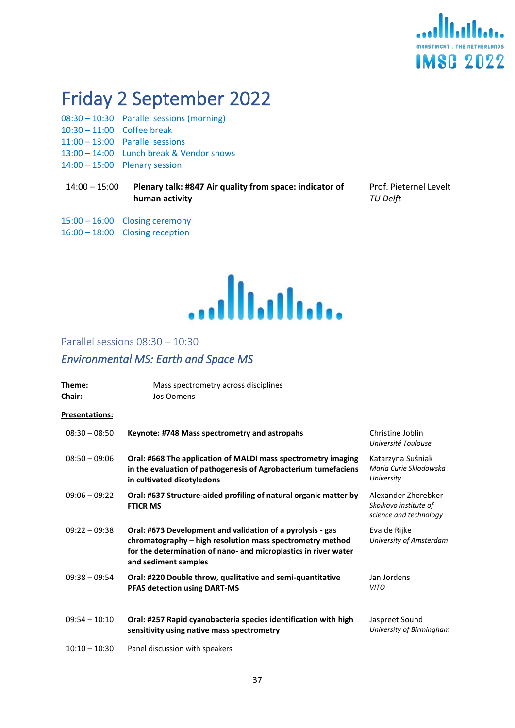

# <span id="page-36-0"></span>Friday 2 September 2022

- 08:30 10:30 Parallel sessions (morning)
- 10:30 11:00 Coffee break
- 11:00 13:00 Parallel sessions
- 13:00 14:00 Lunch break & Vendor shows
- 14:00 15:00 Plenary session

15:00 – 16:00 Closing ceremony 16:00 – 18:00 Closing reception

14:00 – 15:00 **Plenary talk: #847 Air quality from space: indicator of human activity**

Prof. Pieternel Levelt *TU Delft*

....Illi.illi...

#### <span id="page-36-1"></span>Parallel sessions 08:30 – 10:30

## <span id="page-36-2"></span>*Environmental MS: Earth and Space MS*

| Theme:<br>Chair:      | Mass spectrometry across disciplines<br>Jos Oomens                                                                                                                                                                 |                                                                        |
|-----------------------|--------------------------------------------------------------------------------------------------------------------------------------------------------------------------------------------------------------------|------------------------------------------------------------------------|
| <b>Presentations:</b> |                                                                                                                                                                                                                    |                                                                        |
| $08:30 - 08:50$       | Keynote: #748 Mass spectrometry and astropahs                                                                                                                                                                      | Christine Joblin<br>Université Toulouse                                |
| $08:50 - 09:06$       | Oral: #668 The application of MALDI mass spectrometry imaging<br>in the evaluation of pathogenesis of Agrobacterium tumefaciens<br>in cultivated dicotyledons                                                      | Katarzyna Suśniak<br>Maria Curie Sklodowska<br>University              |
| $09:06 - 09:22$       | Oral: #637 Structure-aided profiling of natural organic matter by<br><b>FTICR MS</b>                                                                                                                               | Alexander Zherebker<br>Skolkovo institute of<br>science and technology |
| $09:22 - 09:38$       | Oral: #673 Development and validation of a pyrolysis - gas<br>chromatography - high resolution mass spectrometry method<br>for the determination of nano- and microplastics in river water<br>and sediment samples | Eva de Rijke<br>University of Amsterdam                                |
| $09:38 - 09:54$       | Oral: #220 Double throw, qualitative and semi-quantitative<br>PFAS detection using DART-MS                                                                                                                         | Jan Jordens<br><b>VITO</b>                                             |
| $09:54 - 10:10$       | Oral: #257 Rapid cyanobacteria species identification with high<br>sensitivity using native mass spectrometry                                                                                                      | Jaspreet Sound<br>University of Birmingham                             |
| $10:10 - 10:30$       | Panel discussion with speakers                                                                                                                                                                                     |                                                                        |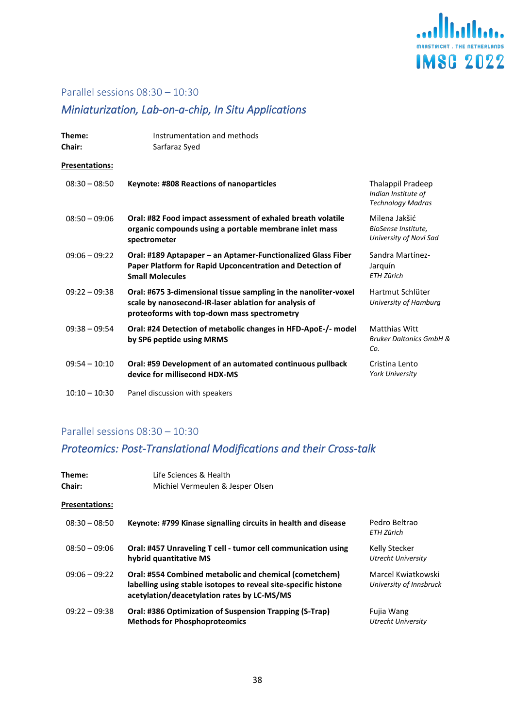

## Parallel sessions 08:30 – 10:30

## <span id="page-37-0"></span>*Miniaturization, Lab-on-a-chip, In Situ Applications*

| Theme:<br>Chair:      | Instrumentation and methods<br>Sarfaraz Syed                                                                                                                            |                                                                      |
|-----------------------|-------------------------------------------------------------------------------------------------------------------------------------------------------------------------|----------------------------------------------------------------------|
| <b>Presentations:</b> |                                                                                                                                                                         |                                                                      |
| $08:30 - 08:50$       | Keynote: #808 Reactions of nanoparticles                                                                                                                                | Thalappil Pradeep<br>Indian Institute of<br><b>Technology Madras</b> |
| $08:50 - 09:06$       | Oral: #82 Food impact assessment of exhaled breath volatile<br>organic compounds using a portable membrane inlet mass<br>spectrometer                                   | Milena Jakšić<br>BioSense Institute,<br>University of Novi Sad       |
| $09:06 - 09:22$       | Oral: #189 Aptapaper - an Aptamer-Functionalized Glass Fiber<br>Paper Platform for Rapid Upconcentration and Detection of<br><b>Small Molecules</b>                     | Sandra Martínez-<br>Jarquín<br><b>ETH Zürich</b>                     |
| $09:22 - 09:38$       | Oral: #675 3-dimensional tissue sampling in the nanoliter-voxel<br>scale by nanosecond-IR-laser ablation for analysis of<br>proteoforms with top-down mass spectrometry | Hartmut Schlüter<br>University of Hamburg                            |
| $09:38 - 09:54$       | Oral: #24 Detection of metabolic changes in HFD-ApoE-/- model<br>by SP6 peptide using MRMS                                                                              | <b>Matthias Witt</b><br><b>Bruker Daltonics GmbH &amp;</b><br>Co.    |
| $09:54 - 10:10$       | Oral: #59 Development of an automated continuous pullback<br>device for millisecond HDX-MS                                                                              | Cristina Lento<br><b>York University</b>                             |
| $10:10 - 10:30$       | Panel discussion with speakers                                                                                                                                          |                                                                      |

## Parallel sessions 08:30 – 10:30

## <span id="page-37-1"></span>*Proteomics: Post-Translational Modifications and their Cross-talk*

| Theme:<br><b>Chair:</b> | Life Sciences & Health<br>Michiel Vermeulen & Jesper Olsen                                                                                                               |                                               |
|-------------------------|--------------------------------------------------------------------------------------------------------------------------------------------------------------------------|-----------------------------------------------|
| <b>Presentations:</b>   |                                                                                                                                                                          |                                               |
| $08:30 - 08:50$         | Keynote: #799 Kinase signalling circuits in health and disease                                                                                                           | Pedro Beltrao<br>ETH Zürich                   |
| $08:50 - 09:06$         | Oral: #457 Unraveling T cell - tumor cell communication using<br>hybrid quantitative MS                                                                                  | Kelly Stecker<br><b>Utrecht University</b>    |
| $09:06 - 09:22$         | Oral: #554 Combined metabolic and chemical (cometchem)<br>labelling using stable isotopes to reveal site-specific histone<br>acetylation/deacetylation rates by LC-MS/MS | Marcel Kwiatkowski<br>University of Innsbruck |
| $09:22 - 09:38$         | Oral: #386 Optimization of Suspension Trapping (S-Trap)<br><b>Methods for Phosphoproteomics</b>                                                                          | Fujia Wang<br><b>Utrecht University</b>       |
|                         |                                                                                                                                                                          |                                               |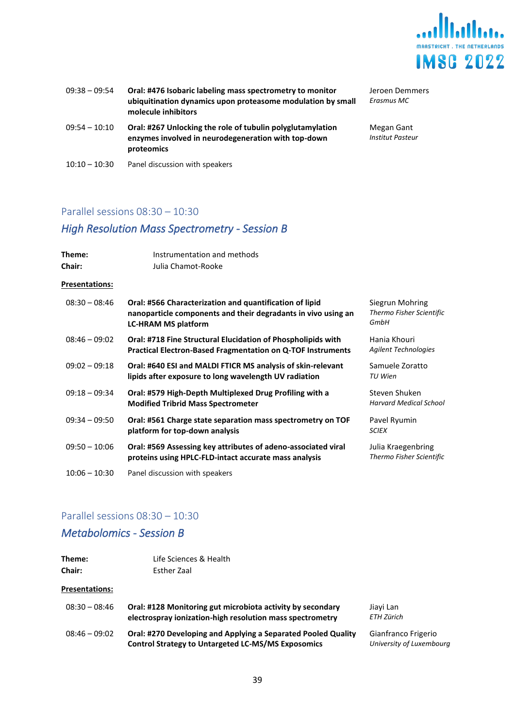

| $09:38 - 09:54$ | Oral: #476 Isobaric labeling mass spectrometry to monitor<br>ubiquitination dynamics upon proteasome modulation by small<br>molecule inhibitors | Jeroen Demmers<br>Erasmus MC          |
|-----------------|-------------------------------------------------------------------------------------------------------------------------------------------------|---------------------------------------|
| $09:54 - 10:10$ | Oral: #267 Unlocking the role of tubulin polyglutamylation<br>enzymes involved in neurodegeneration with top-down<br>proteomics                 | Megan Gant<br><b>Institut Pasteur</b> |
| $10:10 - 10:30$ | Panel discussion with speakers                                                                                                                  |                                       |

## Parallel sessions 08:30 – 10:30

## <span id="page-38-0"></span>*High Resolution Mass Spectrometry - Session B*

| Theme:<br>Chair:      | Instrumentation and methods<br>Julia Chamot-Rooke                                                                                                      |                                                     |
|-----------------------|--------------------------------------------------------------------------------------------------------------------------------------------------------|-----------------------------------------------------|
| <b>Presentations:</b> |                                                                                                                                                        |                                                     |
| $08:30 - 08:46$       | Oral: #566 Characterization and quantification of lipid<br>nanoparticle components and their degradants in vivo using an<br><b>LC-HRAM MS platform</b> | Siegrun Mohring<br>Thermo Fisher Scientific<br>GmbH |
| $08:46 - 09:02$       | Oral: #718 Fine Structural Elucidation of Phospholipids with<br><b>Practical Electron-Based Fragmentation on Q-TOF Instruments</b>                     | Hania Khouri<br><b>Agilent Technologies</b>         |
| $09:02 - 09:18$       | Oral: #640 ESI and MALDI FTICR MS analysis of skin-relevant<br>lipids after exposure to long wavelength UV radiation                                   | Samuele Zoratto<br>TU Wien                          |
| $09:18 - 09:34$       | Oral: #579 High-Depth Multiplexed Drug Profiling with a<br><b>Modified Tribrid Mass Spectrometer</b>                                                   | Steven Shuken<br><b>Harvard Medical School</b>      |
| $09:34 - 09:50$       | Oral: #561 Charge state separation mass spectrometry on TOF<br>platform for top-down analysis                                                          | Pavel Ryumin<br><b>SCIEX</b>                        |
| $09:50 - 10:06$       | Oral: #569 Assessing key attributes of adeno-associated viral<br>proteins using HPLC-FLD-intact accurate mass analysis                                 | Julia Kraegenbring<br>Thermo Fisher Scientific      |
| $10:06 - 10:30$       | Panel discussion with speakers                                                                                                                         |                                                     |

#### Parallel sessions 08:30 – 10:30

## <span id="page-38-1"></span>*Metabolomics - Session B*

| Theme:<br>Chair:      | Life Sciences & Health<br>Esther Zaal                                                                                      |
|-----------------------|----------------------------------------------------------------------------------------------------------------------------|
| <b>Presentations:</b> |                                                                                                                            |
| $08:30 - 08:46$       | Oral: #128 Monitoring gut microbiota activity by secondary<br>electrospray ionization-high resolution mass spectrometry    |
| $08:46 - 09:02$       | Oral: #270 Developing and Applying a Separated Pooled Quality<br><b>Control Strategy to Untargeted LC-MS/MS Exposomics</b> |

Jiayi Lan *ETH Zürich*

Gianfranco Frigerio *University of Luxembourg*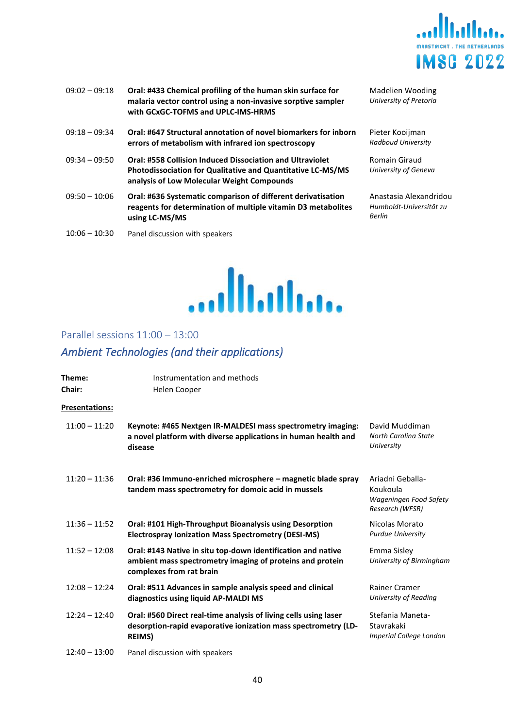

- 09:02 09:18 **Oral: #433 Chemical profiling of the human skin surface for malaria vector control using a non-invasive sorptive sampler with GCxGC-TOFMS and UPLC-IMS-HRMS** 09:18 – 09:34 **Oral: #647 Structural annotation of novel biomarkers for inborn errors of metabolism with infrared ion spectroscopy** 09:34 – 09:50 **Oral: #558 Collision Induced Dissociation and Ultraviolet Photodissociation for Qualitative and Quantitative LC-MS/MS analysis of Low Molecular Weight Compounds**
- 09:50 10:06 **Oral: #636 Systematic comparison of different derivatisation reagents for determination of multiple vitamin D3 metabolites using LC-MS/MS**
- 10:06 10:30 Panel discussion with speakers

Madelien Wooding *University of Pretoria*

Pieter Kooijman *Radboud University*

Romain Giraud *University of Geneva*

Anastasia Alexandridou *Humboldt-Universität zu Berlin*



#### <span id="page-39-0"></span>Parallel sessions 11:00 – 13:00

## <span id="page-39-1"></span>*Ambient Technologies (and their applications)*

| Theme:<br><b>Chair:</b> | Instrumentation and methods<br>Helen Cooper                                                                                                           |                                                                           |
|-------------------------|-------------------------------------------------------------------------------------------------------------------------------------------------------|---------------------------------------------------------------------------|
| <b>Presentations:</b>   |                                                                                                                                                       |                                                                           |
| $11:00 - 11:20$         | Keynote: #465 Nextgen IR-MALDESI mass spectrometry imaging:<br>a novel platform with diverse applications in human health and<br>disease              | David Muddiman<br><b>North Carolina State</b><br>University               |
| $11:20 - 11:36$         | Oral: #36 Immuno-enriched microsphere - magnetic blade spray<br>tandem mass spectrometry for domoic acid in mussels                                   | Ariadni Geballa-<br>Koukoula<br>Wageningen Food Safety<br>Research (WFSR) |
| $11:36 - 11:52$         | Oral: #101 High-Throughput Bioanalysis using Desorption<br><b>Electrospray Ionization Mass Spectrometry (DESI-MS)</b>                                 | Nicolas Morato<br><b>Purdue University</b>                                |
| $11:52 - 12:08$         | Oral: #143 Native in situ top-down identification and native<br>ambient mass spectrometry imaging of proteins and protein<br>complexes from rat brain | Emma Sisley<br>University of Birmingham                                   |
| $12:08 - 12:24$         | Oral: #511 Advances in sample analysis speed and clinical<br>diagnostics using liquid AP-MALDI MS                                                     | Rainer Cramer<br>University of Reading                                    |
| $12:24 - 12:40$         | Oral: #560 Direct real-time analysis of living cells using laser<br>desorption-rapid evaporative ionization mass spectrometry (LD-<br><b>REIMS)</b>   | Stefania Maneta-<br>Stavrakaki<br>Imperial College London                 |
| $12:40 - 13:00$         | Panel discussion with speakers                                                                                                                        |                                                                           |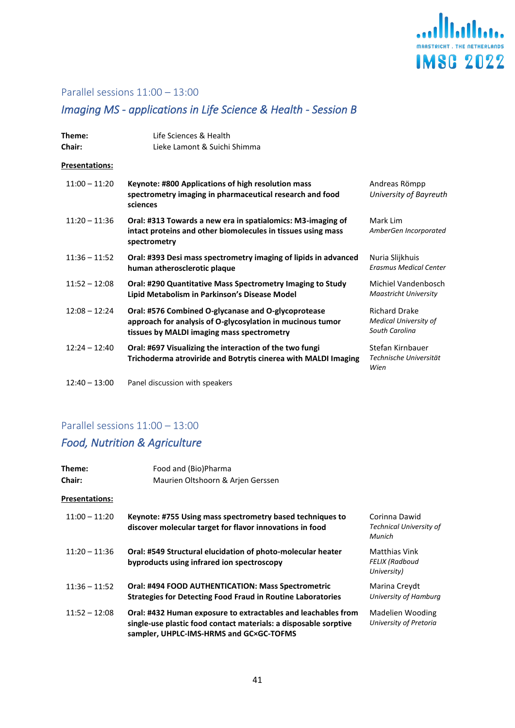

## Parallel sessions 11:00 – 13:00

## <span id="page-40-0"></span>*Imaging MS - applications in Life Science & Health - Session B*

| Theme:<br>Chair:      | Life Sciences & Health<br>Lieke Lamont & Suichi Shimma                                                                                                          |                                                                        |
|-----------------------|-----------------------------------------------------------------------------------------------------------------------------------------------------------------|------------------------------------------------------------------------|
| <b>Presentations:</b> |                                                                                                                                                                 |                                                                        |
| $11:00 - 11:20$       | Keynote: #800 Applications of high resolution mass<br>spectrometry imaging in pharmaceutical research and food<br>sciences                                      | Andreas Römpp<br>University of Bayreuth                                |
| $11:20 - 11:36$       | Oral: #313 Towards a new era in spatialomics: M3-imaging of<br>intact proteins and other biomolecules in tissues using mass<br>spectrometry                     | Mark Lim<br>AmberGen Incorporated                                      |
| $11:36 - 11:52$       | Oral: #393 Desi mass spectrometry imaging of lipids in advanced<br>human atherosclerotic plaque                                                                 | Nuria Slijkhuis<br><b>Erasmus Medical Center</b>                       |
| $11:52 - 12:08$       | Oral: #290 Quantitative Mass Spectrometry Imaging to Study<br>Lipid Metabolism in Parkinson's Disease Model                                                     | Michiel Vandenbosch<br><b>Maastricht University</b>                    |
| $12:08 - 12:24$       | Oral: #576 Combined O-glycanase and O-glycoprotease<br>approach for analysis of O-glycosylation in mucinous tumor<br>tissues by MALDI imaging mass spectrometry | <b>Richard Drake</b><br><b>Medical University of</b><br>South Carolina |
| $12:24 - 12:40$       | Oral: #697 Visualizing the interaction of the two fungi<br>Trichoderma atroviride and Botrytis cinerea with MALDI Imaging                                       | Stefan Kirnbauer<br>Technische Universität<br>Wien                     |
| $12:40 - 13:00$       | Panel discussion with speakers                                                                                                                                  |                                                                        |

## Parallel sessions 11:00 – 13:00

## <span id="page-40-1"></span>*Food, Nutrition & Agriculture*

| Theme:                | Food and (Bio)Pharma                                                                                                                                                         |                                                    |
|-----------------------|------------------------------------------------------------------------------------------------------------------------------------------------------------------------------|----------------------------------------------------|
| <b>Chair:</b>         | Maurien Oltshoorn & Arien Gerssen                                                                                                                                            |                                                    |
| <b>Presentations:</b> |                                                                                                                                                                              |                                                    |
| $11:00 - 11:20$       | Keynote: #755 Using mass spectrometry based techniques to<br>discover molecular target for flavor innovations in food                                                        | Corinna Dawid<br>Technical University of<br>Munich |
| $11:20 - 11:36$       | Oral: #549 Structural elucidation of photo-molecular heater<br>byproducts using infrared ion spectroscopy                                                                    | Matthias Vink<br>FELIX (Radboud<br>University)     |
| $11:36 - 11:52$       | Oral: #494 FOOD AUTHENTICATION: Mass Spectrometric<br><b>Strategies for Detecting Food Fraud in Routine Laboratories</b>                                                     | Marina Creydt<br>University of Hamburg             |
| $11:52 - 12:08$       | Oral: #432 Human exposure to extractables and leachables from<br>single-use plastic food contact materials: a disposable sorptive<br>sampler, UHPLC-IMS-HRMS and GC×GC-TOFMS | Madelien Wooding<br>University of Pretoria         |